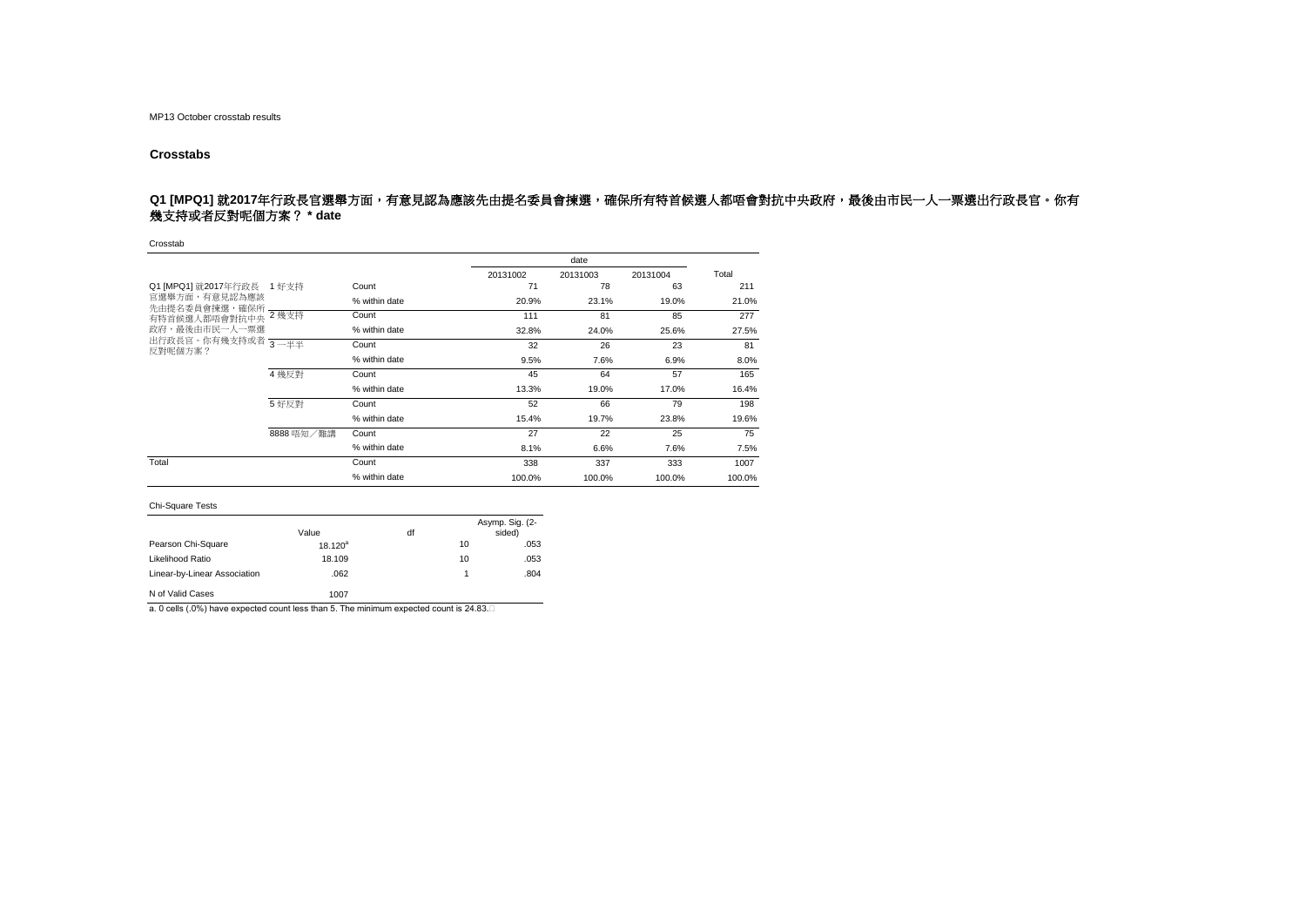### **Crosstabs**

## Q1 [MPQ1] 就2017年行政長官選舉方面,有意見認為應該先由提名委員會揀選,確保所有特首候選人都唔會對抗中央政府,最後由市民一人一票選出行政長官。你有 幾支持或者反對呢個方案? **\* date**

Crosstab

|                                             |            |               |          | date     |          |        |
|---------------------------------------------|------------|---------------|----------|----------|----------|--------|
|                                             |            |               | 20131002 | 20131003 | 20131004 | Total  |
| Q1 [MPQ1] 就2017年行政長 1 好支持                   |            | Count         | 71       | 78       | 63       | 211    |
| 官選舉方面,有意見認為應該<br>先由提名委員會揀選,確保所              |            | % within date | 20.9%    | 23.1%    | 19.0%    | 21.0%  |
| 有特首候選人都唔會對抗中央                               | 2 幾支持      | Count         | 111      | 81       | 85       | 277    |
| 政府,最後由市民一人一票選                               |            | % within date | 32.8%    | 24.0%    | 25.6%    | 27.5%  |
| 出行政長官。你有幾支持或者 <mark>3 —半半</mark><br>反對呢個方案? |            | Count         | 32       | 26       | 23       | 81     |
|                                             |            | % within date | 9.5%     | 7.6%     | 6.9%     | 8.0%   |
|                                             | 4 幾反對      | Count         | 45       | 64       | 57       | 165    |
|                                             |            | % within date | 13.3%    | 19.0%    | 17.0%    | 16.4%  |
|                                             | 5 好反對      | Count         | 52       | 66       | 79       | 198    |
|                                             |            | % within date | 15.4%    | 19.7%    | 23.8%    | 19.6%  |
|                                             | 8888 唔知/難講 | Count         | 27       | 22       | 25       | 75     |
|                                             |            | % within date | 8.1%     | 6.6%     | 7.6%     | 7.5%   |
| Total                                       |            | Count         | 338      | 337      | 333      | 1007   |
|                                             |            | % within date | 100.0%   | 100.0%   | 100.0%   | 100.0% |

#### Chi-Square Tests

|                              | Value      | df |    | Asymp. Sig. (2-<br>sided) |
|------------------------------|------------|----|----|---------------------------|
| Pearson Chi-Square           | $18.120^a$ |    | 10 | .053                      |
| Likelihood Ratio             | 18.109     |    | 10 | .053                      |
| Linear-by-Linear Association | .062       |    | 1  | .804                      |
| N of Valid Cases             | 1007       |    |    |                           |

a. 0 cells (.0%) have expected count less than 5. The minimum expected count is 24.83.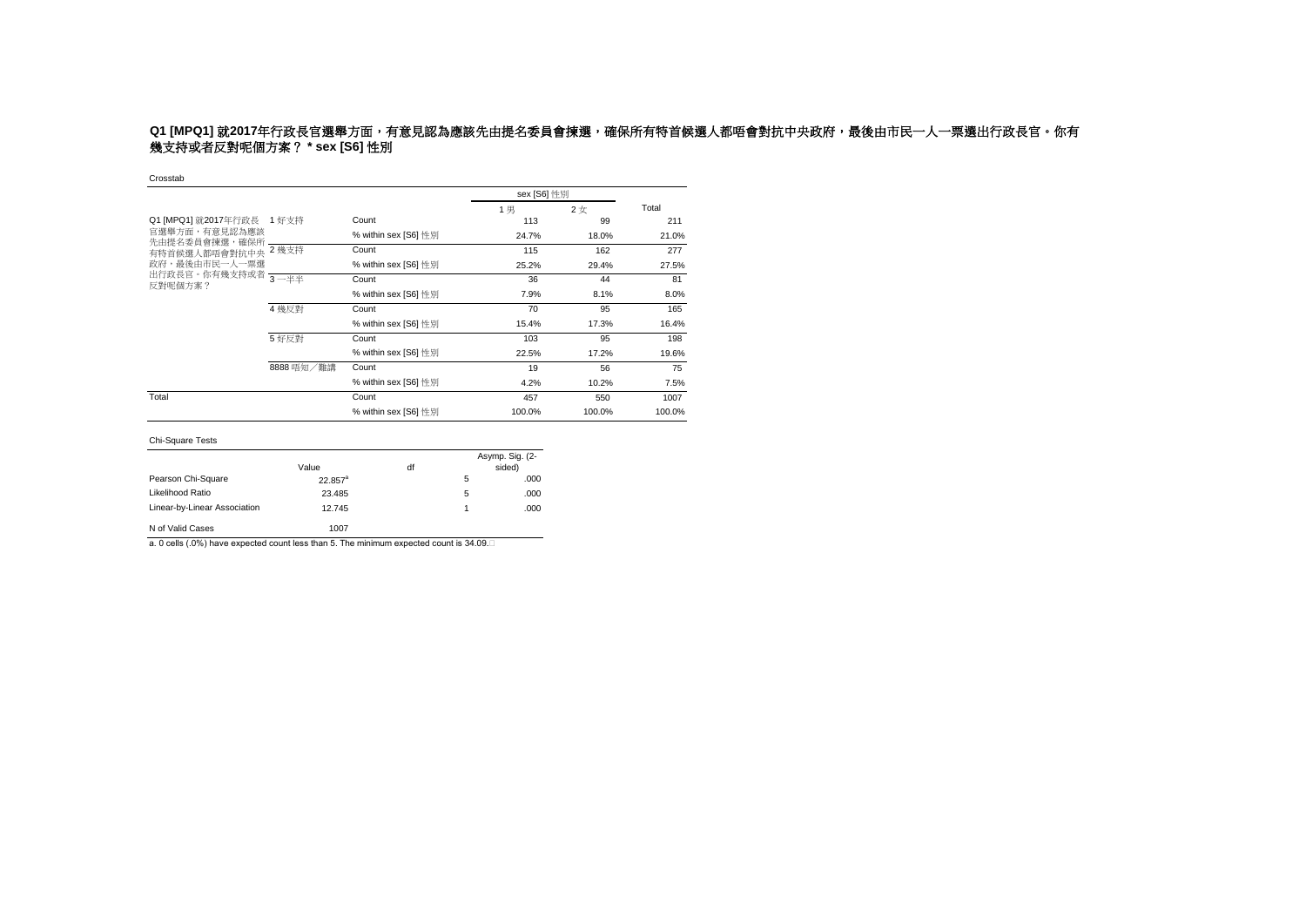# **Q1 [MPQ1]** 就2017年行政長官選舉方面,有意見認為應該先由提名委員會揀選,確保所有特首候選人都唔會對抗中央政府,最後由市民一人一票選出行政長官。你有 幾支持或者反對呢個方案? **\* sex [S6]** 性別

#### Crosstab

|                                                                                               |            |                      | sex [S6] 性別 |        |        |
|-----------------------------------------------------------------------------------------------|------------|----------------------|-------------|--------|--------|
|                                                                                               |            |                      | 1男          | 2女     | Total  |
| Q1 [MPQ1] 就2017年行政長 1 好支持<br>官選舉方面,有意見認為應該<br>先由提名委員會揀選,確保所<br>有特首候選人都唔會對抗中央<br>政府,最後由市民一人一票選 |            | Count                | 113         | 99     | 211    |
|                                                                                               |            | % within sex [S6] 性別 | 24.7%       | 18.0%  | 21.0%  |
|                                                                                               | 2 幾支持      | Count                | 115         | 162    | 277    |
|                                                                                               |            | % within sex [S6] 性別 | 25.2%       | 29.4%  | 27.5%  |
| 出行政長官。你有幾支持或者 3-半半<br>反對呢個方案?                                                                 |            | Count                | 36          | 44     | 81     |
|                                                                                               |            | % within sex [S6] 性別 | 7.9%        | 8.1%   | 8.0%   |
|                                                                                               | 4 幾反對      | Count                | 70          | 95     | 165    |
|                                                                                               |            | % within sex [S6] 性別 | 15.4%       | 17.3%  | 16.4%  |
|                                                                                               | 5 好反對      | Count                | 103         | 95     | 198    |
|                                                                                               |            | % within sex [S6] 性別 | 22.5%       | 17.2%  | 19.6%  |
|                                                                                               | 8888 唔知/難講 | Count                | 19          | 56     | 75     |
|                                                                                               |            | % within sex [S6] 性別 | 4.2%        | 10.2%  | 7.5%   |
| Total                                                                                         |            | Count                | 457         | 550    | 1007   |
|                                                                                               |            | % within sex [S6] 性別 | 100.0%      | 100.0% | 100.0% |

#### Chi-Square Tests

| <b>UIT UYUUTU TUULU</b>      |            |    |   |                           |
|------------------------------|------------|----|---|---------------------------|
|                              | Value      | df |   | Asymp. Sig. (2-<br>sided) |
| Pearson Chi-Square           | $22.857^a$ |    | 5 | .000                      |
| Likelihood Ratio             | 23.485     |    | 5 | .000                      |
| Linear-by-Linear Association | 12.745     |    | 1 | .000                      |
| N of Valid Cases             | 1007       |    |   |                           |

a. 0 cells (.0%) have expected count less than 5. The minimum expected count is 34.09.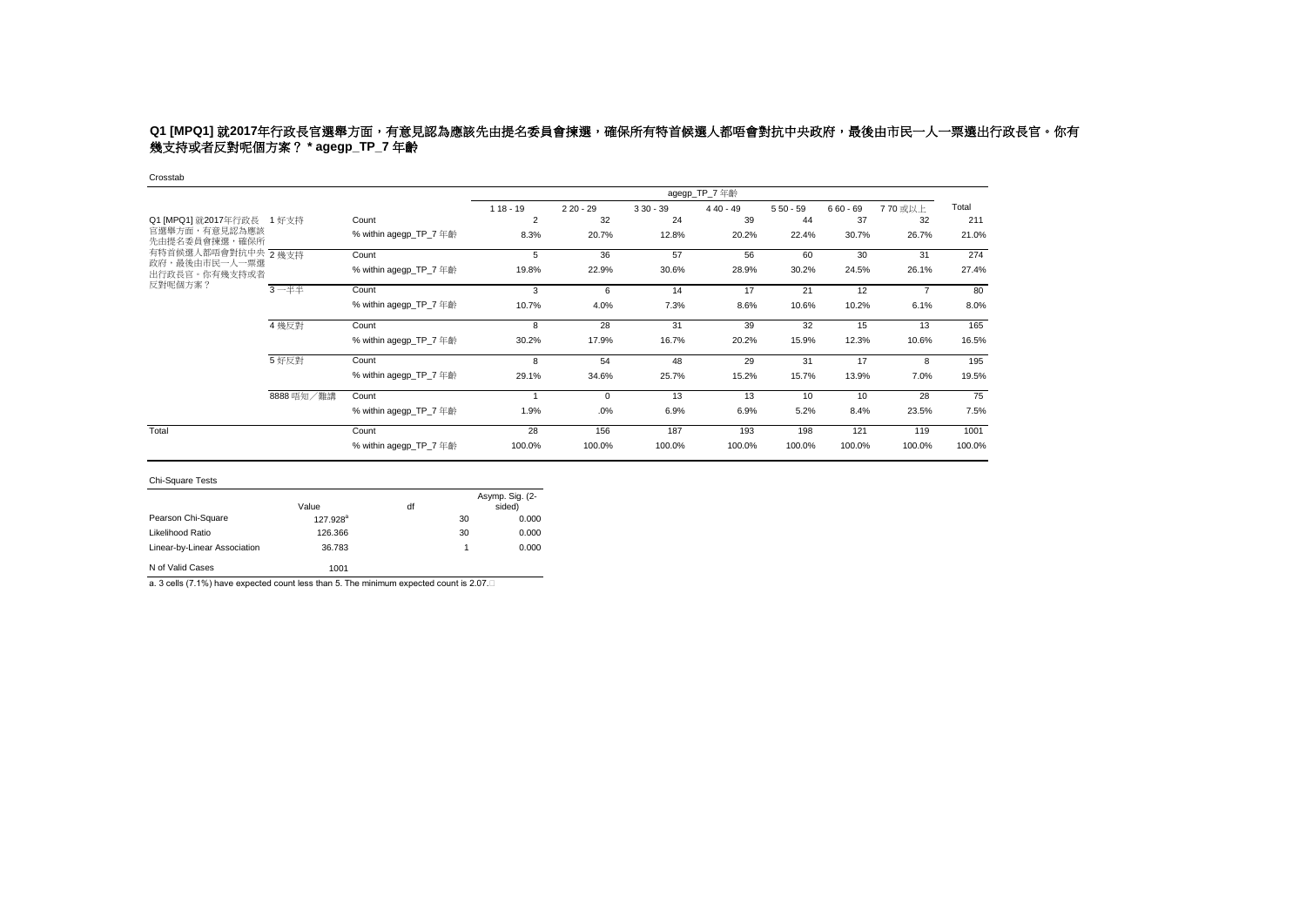# **Q1 [MPQ1]** 就2017年行政長官選舉方面,有意見認為應該先由提名委員會揀選,確保所有特首候選人都唔會對抗中央政府,最後由市民一人一票選出行政長官。你有 幾支持或者反對呢個方案? **\* agegp\_TP\_7** 年齡

#### Crosstab

|                                |            |                        |                |            |            | agegp_TP_7 年齡 |            |            |                |        |
|--------------------------------|------------|------------------------|----------------|------------|------------|---------------|------------|------------|----------------|--------|
|                                |            |                        | $118 - 19$     | $220 - 29$ | $330 - 39$ | $440 - 49$    | $550 - 59$ | $660 - 69$ | 770 或以上        | Total  |
| Q1 [MPQ1] 就2017年行政長            | 1 好支持      | Count                  | $\overline{2}$ | 32         | 24         | 39            | 44         | 37         | 32             | 211    |
| 官選舉方面,有意見認為應該<br>先由提名委員會揀選,確保所 |            | % within agegp_TP_7 年齡 | 8.3%           | 20.7%      | 12.8%      | 20.2%         | 22.4%      | 30.7%      | 26.7%          | 21.0%  |
| 有特首候選人都唔會對抗中央 2幾支持             |            | Count                  | 5              | 36         | 57         | 56            | 60         | 30         | 31             | 274    |
| 政府,最後由市民一人一票選<br>出行政長官。你有幾支持或者 |            | % within agegp_TP_7 年齡 | 19.8%          | 22.9%      | 30.6%      | 28.9%         | 30.2%      | 24.5%      | 26.1%          | 27.4%  |
| 反對呢個方案?                        | 3一半半       | Count                  | 3              | 6          | 14         | 17            | 21         | 12         | $\overline{7}$ | 80     |
|                                |            | % within agegp_TP_7 年齡 | 10.7%          | 4.0%       | 7.3%       | 8.6%          | 10.6%      | 10.2%      | 6.1%           | 8.0%   |
|                                | 4 幾反對      | Count                  | 8              | 28         | 31         | 39            | 32         | 15         | 13             | 165    |
|                                |            | % within agegp_TP_7 年齡 | 30.2%          | 17.9%      | 16.7%      | 20.2%         | 15.9%      | 12.3%      | 10.6%          | 16.5%  |
|                                | 5 好反對      | Count                  | 8              | 54         | 48         | 29            | 31         | 17         | 8              | 195    |
|                                |            | % within agegp_TP_7 年齡 | 29.1%          | 34.6%      | 25.7%      | 15.2%         | 15.7%      | 13.9%      | 7.0%           | 19.5%  |
|                                | 8888 唔知/難講 | Count                  |                | $\Omega$   | 13         | 13            | 10         | 10         | 28             | 75     |
|                                |            | % within agegp_TP_7 年齡 | 1.9%           | .0%        | 6.9%       | 6.9%          | 5.2%       | 8.4%       | 23.5%          | 7.5%   |
| Total                          |            | Count                  | 28             | 156        | 187        | 193           | 198        | 121        | 119            | 1001   |
|                                |            | % within agegp_TP_7 年齡 | 100.0%         | 100.0%     | 100.0%     | 100.0%        | 100.0%     | 100.0%     | 100.0%         | 100.0% |

### Chi-Square Tests

|                              |                      |    |    | Asymp. Sig. (2- |
|------------------------------|----------------------|----|----|-----------------|
|                              | Value                | df |    | sided)          |
| Pearson Chi-Square           | 127.928 <sup>a</sup> |    | 30 | 0.000           |
| Likelihood Ratio             | 126,366              |    | 30 | 0.000           |
| Linear-by-Linear Association | 36.783               |    | 1  | 0.000           |
| N of Valid Cases             | 1001                 |    |    |                 |

a. 3 cells (7.1%) have expected count less than 5. The minimum expected count is 2.07.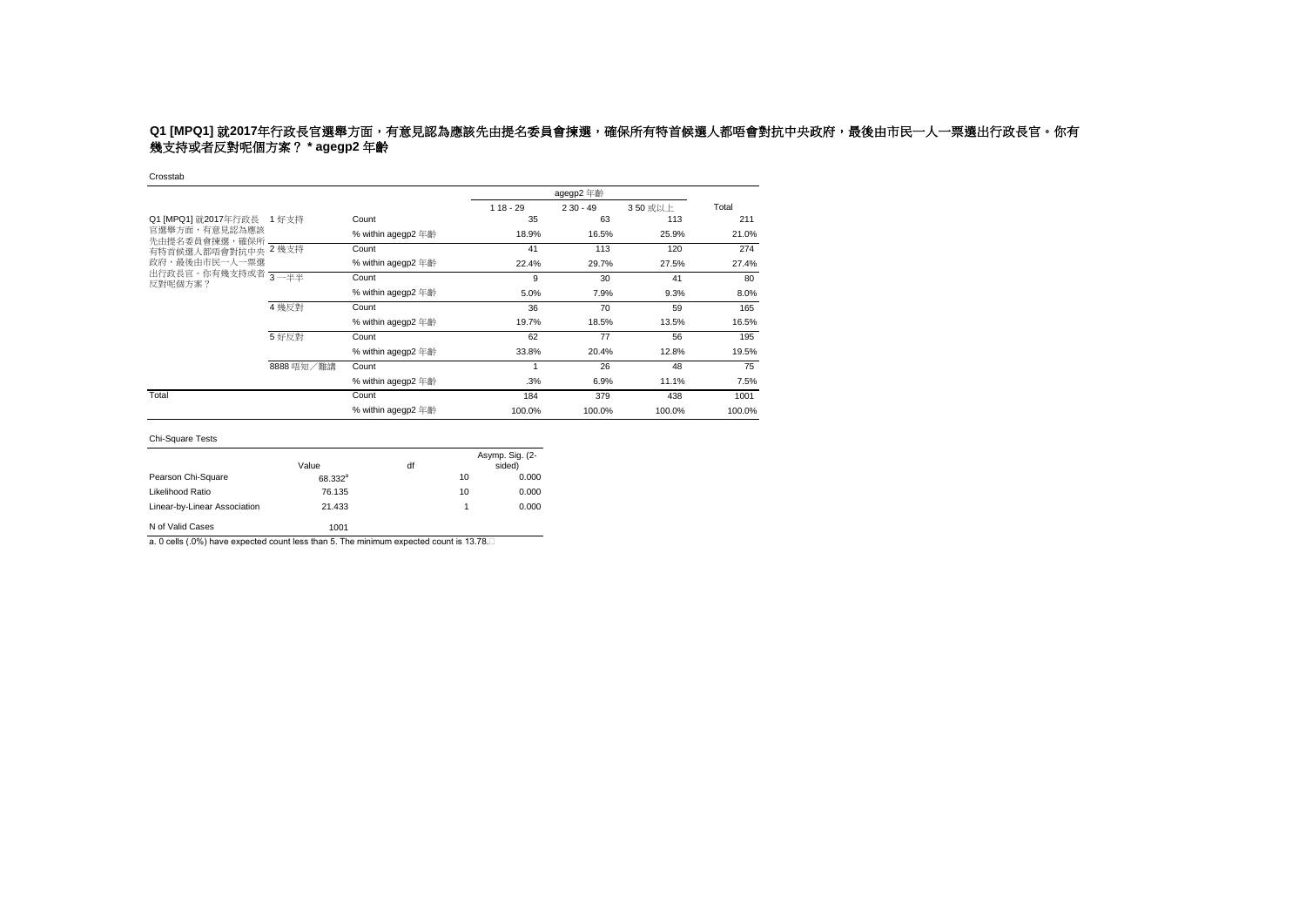# **Q1 [MPQ1]** 就2017年行政長官選舉方面,有意見認為應該先由提名委員會揀選,確保所有特首候選人都唔會對抗中央政府,最後由市民一人一票選出行政長官。你有 幾支持或者反對呢個方案? **\* agegp2** 年齡

Crosstab

|                                |            |                    |            | agegp2 年齡  |         |        |  |
|--------------------------------|------------|--------------------|------------|------------|---------|--------|--|
|                                |            |                    | $118 - 29$ | $230 - 49$ | 350 或以上 | Total  |  |
| Q1 [MPQ1] 就2017年行政長            | 1 好支持      | Count              | 35         | 63         | 113     | 211    |  |
| 官選舉方面,有意見認為應該<br>先由提名委員會揀選,確保所 |            | % within agegp2 年齡 | 18.9%      | 16.5%      | 25.9%   | 21.0%  |  |
| 有特首候選人都唔會對抗中央 2 幾支持            |            | Count              | 41         | 113        | 120     | 274    |  |
| 政府,最後由市民一人一票選                  |            | % within agegp2 年齡 | 22.4%      | 29.7%      | 27.5%   | 27.4%  |  |
| 出行政長官。你有幾支持或者 3-半半<br>反對呢個方案?  |            | Count              | 9          | 30         | 41      | 80     |  |
|                                |            | % within agegp2 年齡 | 5.0%       | 7.9%       | 9.3%    | 8.0%   |  |
|                                | 4 幾反對      | Count              | 36         | 70         | 59      | 165    |  |
|                                |            | % within agegp2 年齡 | 19.7%      | 18.5%      | 13.5%   | 16.5%  |  |
|                                | 5 好反對      | Count              | 62         | 77         | 56      | 195    |  |
|                                |            | % within agegp2 年齡 | 33.8%      | 20.4%      | 12.8%   | 19.5%  |  |
|                                | 8888 唔知/難講 | Count              |            | 26         | 48      | 75     |  |
|                                |            | % within agegp2 年齡 | .3%        | 6.9%       | 11.1%   | 7.5%   |  |
| Total                          |            | Count              | 184        | 379        | 438     | 1001   |  |
|                                |            | % within agegp2 年齡 | 100.0%     | 100.0%     | 100.0%  | 100.0% |  |

Chi-Square Tests

|                              | Value               | df |    | Asymp. Sig. (2-<br>sided) |
|------------------------------|---------------------|----|----|---------------------------|
| Pearson Chi-Square           | 68.332 <sup>a</sup> |    | 10 | 0.000                     |
| Likelihood Ratio             | 76.135              |    | 10 | 0.000                     |
| Linear-by-Linear Association | 21.433              |    |    | 0.000                     |
| N of Valid Cases             | 1001                |    |    |                           |

a. 0 cells (.0%) have expected count less than 5. The minimum expected count is 13.78.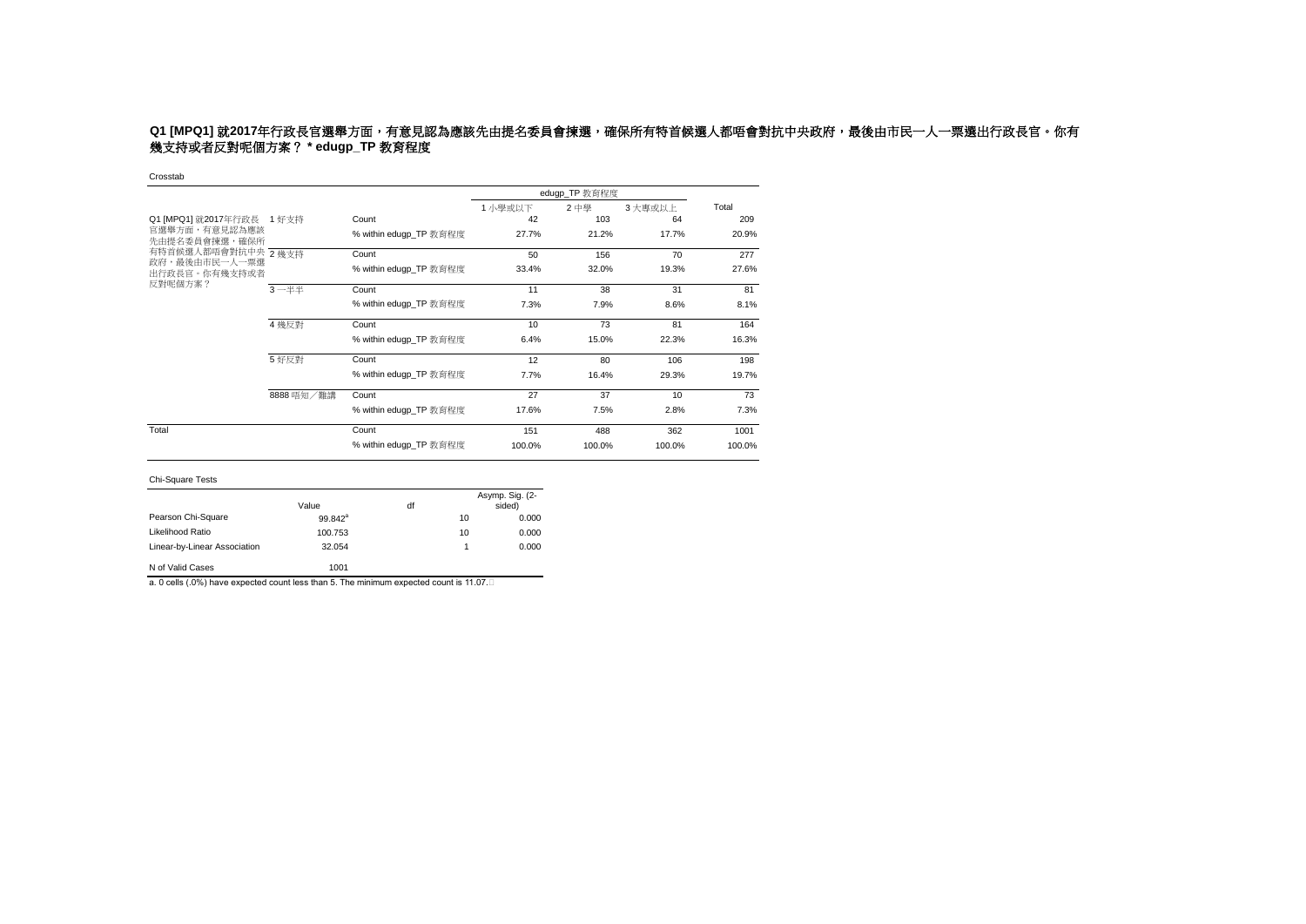# **Q1 [MPQ1]** 就2017年行政長官選舉方面,有意見認為應該先由提名委員會揀選,確保所有特首候選人都唔會對抗中央政府,最後由市民一人一票選出行政長官。你有 幾支持或者反對呢個方案? **\* edugp\_TP** 教育程度

Crosstab

|                                                      |            |                        |        | edugp_TP 教育程度 |        |        |  |
|------------------------------------------------------|------------|------------------------|--------|---------------|--------|--------|--|
|                                                      |            |                        | 1小學或以下 | 2 中學          | 3大專或以上 | Total  |  |
| Q1 [MPQ1] 就2017年行政長 1 好支持                            |            | Count                  | 42     | 103           | 64     | 209    |  |
| 官選舉方面,有意見認為應該<br>先由提名委員會揀選,確保所                       |            | % within edugp_TP 教育程度 | 27.7%  | 21.2%         | 17.7%  | 20.9%  |  |
| 有特首候選人都唔會對抗中央 2幾支持<br>政府,最後由市民一人一票選<br>出行政長官。你有幾支持或者 |            | Count                  | 50     | 156           | 70     | 277    |  |
|                                                      |            | % within edugp_TP 教育程度 | 33.4%  | 32.0%         | 19.3%  | 27.6%  |  |
| 反對呢個方案?                                              | $3 - ##$   | Count                  | 11     | 38            | 31     | 81     |  |
|                                                      |            | % within edugp_TP 教育程度 | 7.3%   | 7.9%          | 8.6%   | 8.1%   |  |
|                                                      | 4 幾反對      | Count                  | 10     | 73            | 81     | 164    |  |
|                                                      |            | % within edugp TP 教育程度 | 6.4%   | 15.0%         | 22.3%  | 16.3%  |  |
|                                                      | 5 好反對      | Count                  | 12     | 80            | 106    | 198    |  |
|                                                      |            | % within edugp TP 教育程度 | 7.7%   | 16.4%         | 29.3%  | 19.7%  |  |
|                                                      | 8888 唔知/難講 | Count                  | 27     | 37            | 10     | 73     |  |
|                                                      |            | % within edugp_TP 教育程度 | 17.6%  | 7.5%          | 2.8%   | 7.3%   |  |
| Total                                                |            | Count                  | 151    | 488           | 362    | 1001   |  |
|                                                      |            | % within edugp_TP 教育程度 | 100.0% | 100.0%        | 100.0% | 100.0% |  |

| <b>Chi-Square Tests</b>      |                     |    |    |                           |
|------------------------------|---------------------|----|----|---------------------------|
|                              | Value               | df |    | Asymp. Sig. (2-<br>sided) |
| Pearson Chi-Square           | 99.842 <sup>a</sup> |    | 10 | 0.000                     |
| Likelihood Ratio             | 100.753             |    | 10 | 0.000                     |
| Linear-by-Linear Association | 32.054              |    | 1  | 0.000                     |
| N of Valid Cases             | 1001                |    |    |                           |

a. 0 cells (.0%) have expected count less than 5. The minimum expected count is 11.07.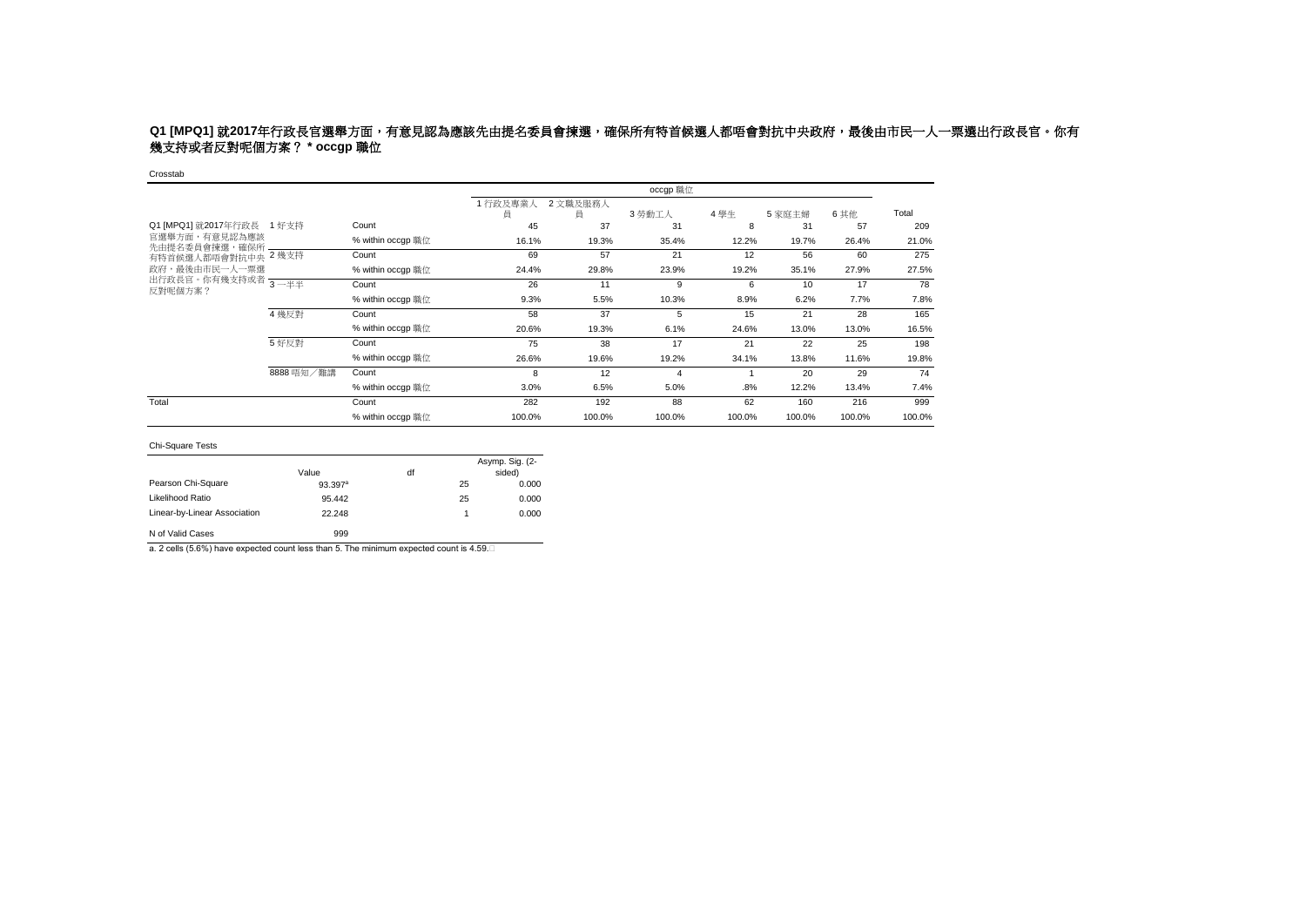# **Q1 [MPQ1] 就2017年行政長官選舉方面,有意見認為應該先由提名委員會揀選,確保所有特首候選人都唔會對抗中央政府,最後由市民一人一票選出行政長官。你有** 幾支持或者反對呢個方案? **\* occgp** 職位

#### Crosstab

|                                                       |            |                   |              |               | occgp 職位 |        |        |        |        |
|-------------------------------------------------------|------------|-------------------|--------------|---------------|----------|--------|--------|--------|--------|
|                                                       |            |                   | 1行政及專業人<br>員 | 2 文職及服務人<br>員 | 3 勞動工人   | 4學生    | 5家庭主婦  | 6 其他   | Total  |
| Q1 [MPQ1] 就2017年行政長<br>官選舉方面,有意見認為應該<br>先由提名委員會揀選,確保所 | 1 好支持      | Count             | 45           | 37            | 31       | 8      | 31     | 57     | 209    |
|                                                       |            | % within occap 職位 | 16.1%        | 19.3%         | 35.4%    | 12.2%  | 19.7%  | 26.4%  | 21.0%  |
| 有特首候選人都唔會對抗中央 2幾支持                                    |            | Count             | 69           | 57            | 21       | 12     | 56     | 60     | 275    |
| 政府,最後由市民一人一票選                                         |            | % within occgp 職位 | 24.4%        | 29.8%         | 23.9%    | 19.2%  | 35.1%  | 27.9%  | 27.5%  |
| 出行政長官。你有幾支持或者 3-半半<br>反對呢個方案?                         |            | Count             | 26           | 11            | 9        | 6      | 10     | 17     | 78     |
|                                                       |            | % within occgp 職位 | 9.3%         | 5.5%          | 10.3%    | 8.9%   | 6.2%   | 7.7%   | 7.8%   |
|                                                       | 4 幾反對      | Count             | 58           | 37            | 5        | 15     | 21     | 28     | 165    |
|                                                       |            | % within occap 職位 | 20.6%        | 19.3%         | 6.1%     | 24.6%  | 13.0%  | 13.0%  | 16.5%  |
|                                                       | 5 好反對      | Count             | 75           | 38            | 17       | 21     | 22     | 25     | 198    |
|                                                       |            | % within occap 職位 | 26.6%        | 19.6%         | 19.2%    | 34.1%  | 13.8%  | 11.6%  | 19.8%  |
|                                                       | 8888 唔知/難講 | Count             | 8            | 12            | 4        |        | 20     | 29     | 74     |
|                                                       |            | % within occap 職位 | 3.0%         | 6.5%          | 5.0%     | .8%    | 12.2%  | 13.4%  | 7.4%   |
| Total                                                 |            | Count             | 282          | 192           | 88       | 62     | 160    | 216    | 999    |
|                                                       |            | % within occgp 職位 | 100.0%       | 100.0%        | 100.0%   | 100.0% | 100.0% | 100.0% | 100.0% |

#### Chi-Square Tests

|                              | Value      | df |    | Asymp. Sig. (2-<br>sided) |
|------------------------------|------------|----|----|---------------------------|
| Pearson Chi-Square           | $93.397^a$ |    | 25 | 0.000                     |
| Likelihood Ratio             | 95.442     |    | 25 | 0.000                     |
| Linear-by-Linear Association | 22.248     |    | 1  | 0.000                     |
| N of Valid Cases             | 999        |    |    |                           |

a. 2 cells (5.6%) have expected count less than 5. The minimum expected count is 4.59.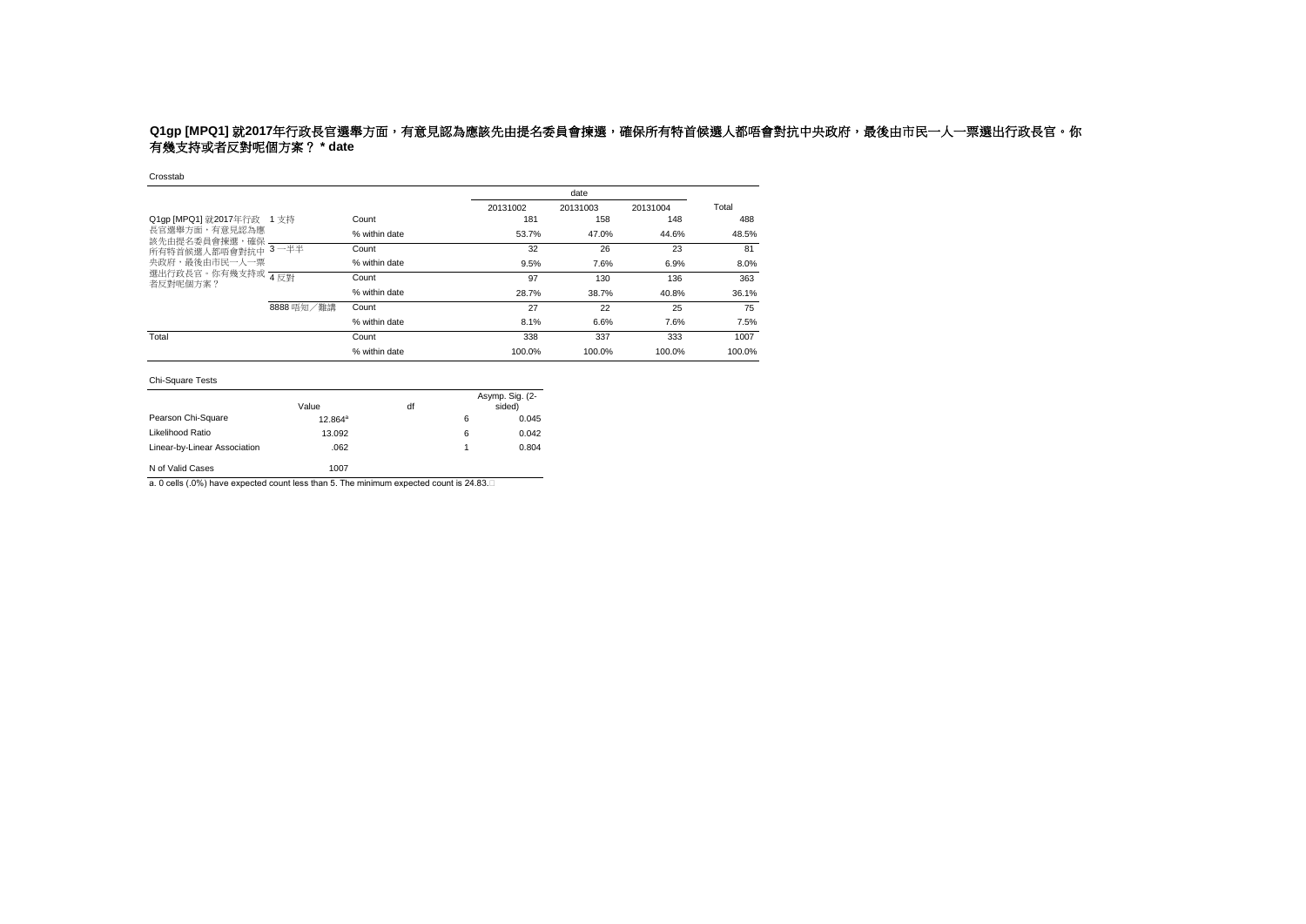# **Q1gp [MPQ1]** 就2017年行政長官選舉方面,有意見認為應該先由提名委員會揀選,確保所有特首候選人都唔會對抗中央政府,最後由市民一人一票選出行政長官。你 有幾支持或者反對呢個方案? **\* date**

### Crosstab

|                                |            |               |          | date     |          |        |
|--------------------------------|------------|---------------|----------|----------|----------|--------|
|                                |            |               | 20131002 | 20131003 | 20131004 | Total  |
| Q1qp [MPQ1] 就2017年行政 1 支持      |            | Count         | 181      | 158      | 148      | 488    |
| 長官選舉方面,有意見認為應<br>該先由提名委員會揀選,確保 |            | % within date | 53.7%    | 47.0%    | 44.6%    | 48.5%  |
| 所有特首候選人都唔會對抗中                  | $3 - ##$   | Count         | 32       | 26       | 23       | 81     |
| 央政府,最後由市民一人一票                  |            | % within date | 9.5%     | 7.6%     | 6.9%     | 8.0%   |
| 選出行政長官。你有幾支持或 4反對<br>者反對呢個方案?  |            | Count         | 97       | 130      | 136      | 363    |
|                                |            | % within date | 28.7%    | 38.7%    | 40.8%    | 36.1%  |
|                                | 8888 唔知/難講 | Count         | 27       | 22       | 25       | 75     |
|                                |            | % within date | 8.1%     | 6.6%     | 7.6%     | 7.5%   |
| Total                          |            | Count         | 338      | 337      | 333      | 1007   |
|                                |            | % within date | 100.0%   | 100.0%   | 100.0%   | 100.0% |

### Chi-Square Tests

|                              | Value      | df |   | Asymp. Sig. (2-<br>sided) |
|------------------------------|------------|----|---|---------------------------|
| Pearson Chi-Square           | $12.864^a$ |    | 6 | 0.045                     |
| Likelihood Ratio             | 13.092     |    | 6 | 0.042                     |
| Linear-by-Linear Association | .062       |    |   | 0.804                     |
| N of Valid Cases             | 1007       |    |   |                           |

a. 0 cells (.0%) have expected count less than 5. The minimum expected count is 24.83.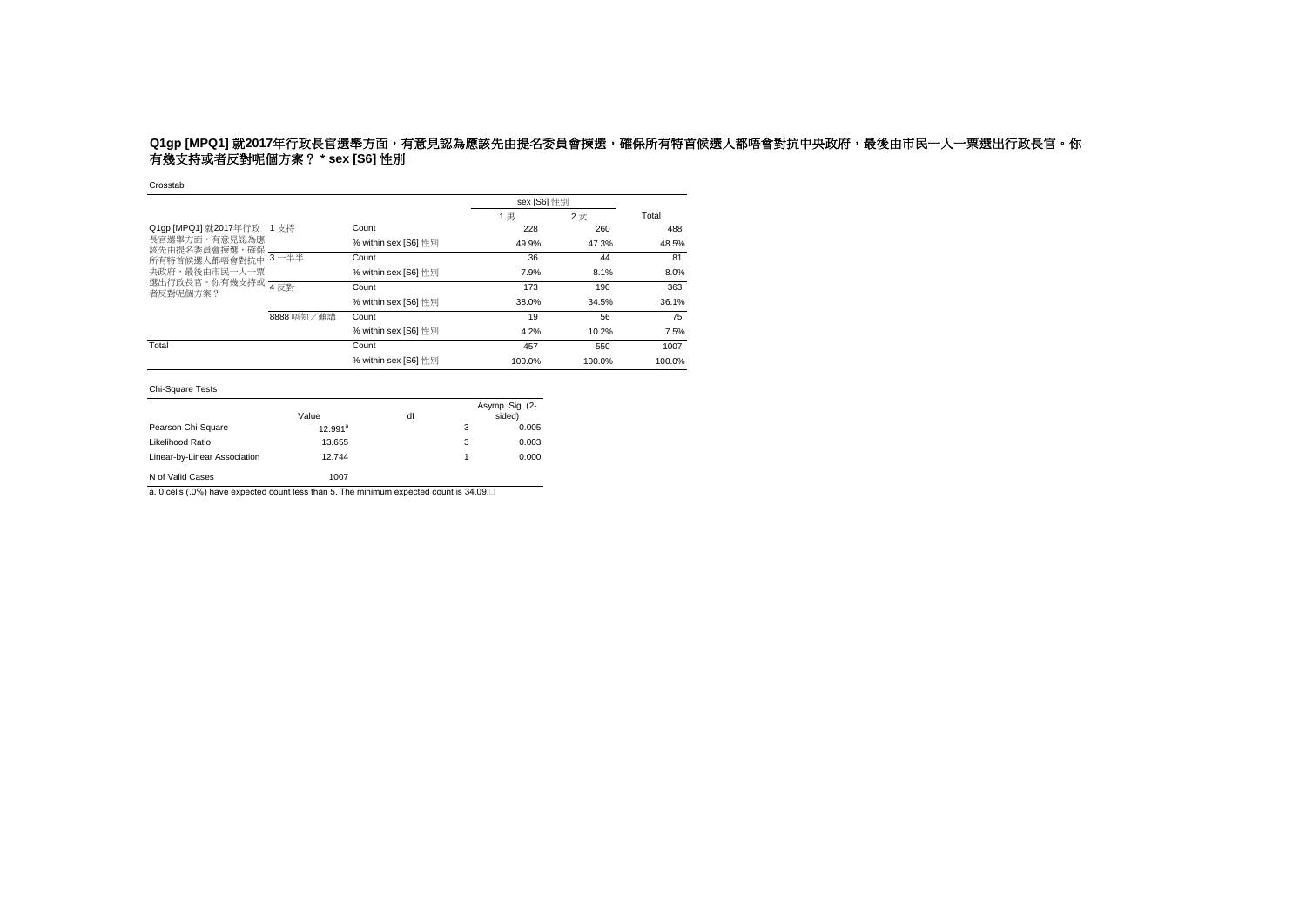### Q1gp [MPQ1] 就2017年行政長官選舉方面,有意見認為應該先由提名委員會揀選,確保所有特首候選人都唔會對抗中央政府,最後由市民一人一票選出行政長官。你 有幾支持或者反對呢個方案? **\* sex [S6]** 性別

Crosstab

|                                                                                               |            |                      | sex [S6] 性別 |        |        |
|-----------------------------------------------------------------------------------------------|------------|----------------------|-------------|--------|--------|
|                                                                                               |            |                      | 1男          | 2女     | Total  |
| Q1qp [MPQ1] 就2017年行政 1 支持<br>長官選舉方面,有意見認為應<br>該先由提名委員會揀選,確保<br>所有特首候選人都唔會對抗中<br>央政府,最後由市民一人一票 |            | Count                | 228         | 260    | 488    |
|                                                                                               |            | % within sex [S6] 性別 | 49.9%       | 47.3%  | 48.5%  |
|                                                                                               | $3 - ##$   | Count                | 36          | 44     | 81     |
|                                                                                               |            | % within sex [S6] 性別 | 7.9%        | 8.1%   | 8.0%   |
| 選出行政長官。你有幾支持或 4反對<br>者反對呢個方案?                                                                 |            | Count                | 173         | 190    | 363    |
|                                                                                               |            | % within sex [S6] 性別 | 38.0%       | 34.5%  | 36.1%  |
|                                                                                               | 8888 唔知/難講 | Count                | 19          | 56     | 75     |
|                                                                                               |            | % within sex [S6] 性別 | 4.2%        | 10.2%  | 7.5%   |
| Total                                                                                         |            | Count                | 457         | 550    | 1007   |
|                                                                                               |            | % within sex [S6] 性別 | 100.0%      | 100.0% | 100.0% |

#### Chi-Square Tests

|                              | Value      | df |   | Asymp. Sig. (2-<br>sided) |
|------------------------------|------------|----|---|---------------------------|
| Pearson Chi-Square           | $12.991^a$ |    | 3 | 0.005                     |
| Likelihood Ratio             | 13.655     |    | 3 | 0.003                     |
| Linear-by-Linear Association | 12.744     |    | 1 | 0.000                     |
| N of Valid Cases             | 1007       |    |   |                           |

a. 0 cells (.0%) have expected count less than 5. The minimum expected count is 34.09.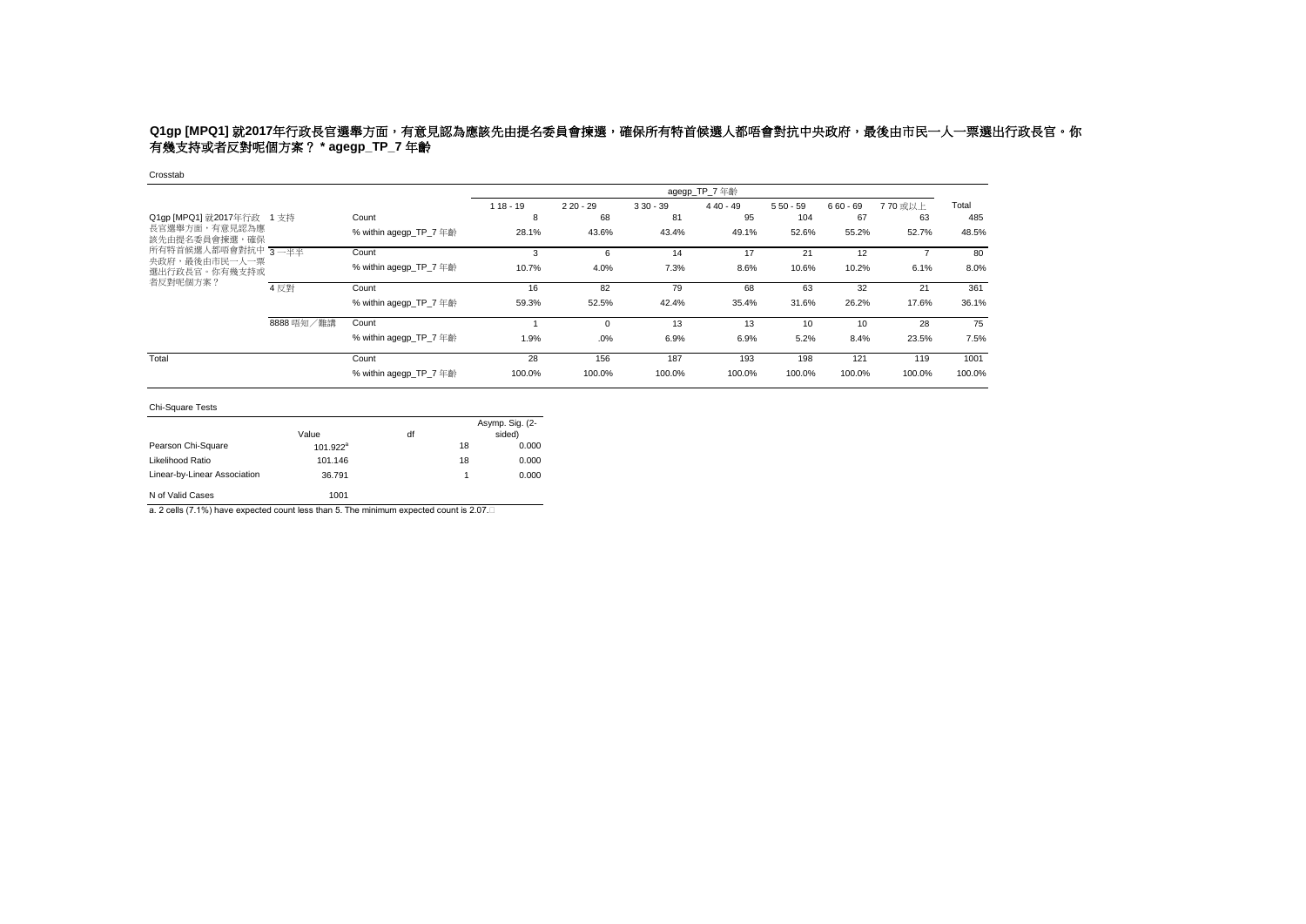### Q1gp [MPQ1] 就2017年行政長官選舉方面,有意見認為應該先由提名委員會揀選,確保所有特首候選人都唔會對抗中央政府,最後由市民一人一票選出行政長官。你 有幾支持或者反對呢個方案? **\* agegp\_TP\_7** 年齡

### Crosstab

|                                |            |                        |            |            |            | agegp_TP_7 年齡 |            |            |         |        |
|--------------------------------|------------|------------------------|------------|------------|------------|---------------|------------|------------|---------|--------|
|                                |            |                        | $118 - 19$ | $220 - 29$ | $330 - 39$ | $440 - 49$    | $550 - 59$ | $660 - 69$ | 770 或以上 | Total  |
| Q1gp [MPQ1] 就2017年行政 1 支持      |            | Count                  | 8          | 68         | 81         | 95            | 104        | 67         | 63      | 485    |
| 長官選舉方面,有意見認為應<br>該先由提名委員會揀選,確保 |            | % within agegp_TP_7 年齡 | 28.1%      | 43.6%      | 43.4%      | 49.1%         | 52.6%      | 55.2%      | 52.7%   | 48.5%  |
| 所有特首候選人都唔會對抗中 3-半半             |            | Count                  | 3          | 6          | 14         | 17            | 21         | 12         |         | 80     |
| 央政府,最後由市民一人一票<br>選出行政長官。你有幾支持或 |            | % within agegp TP 7 年齡 | 10.7%      | 4.0%       | 7.3%       | 8.6%          | 10.6%      | 10.2%      | 6.1%    | 8.0%   |
| 者反對呢個方案?                       | 4 反對       | Count                  | 16         | 82         | 79         | 68            | 63         | 32         | 21      | 361    |
|                                |            | % within agegp TP 7 年齡 | 59.3%      | 52.5%      | 42.4%      | 35.4%         | 31.6%      | 26.2%      | 17.6%   | 36.1%  |
|                                | 8888 唔知/難講 | Count                  |            | $\Omega$   | 13         | 13            | 10         | 10         | 28      | 75     |
|                                |            | % within agegp TP 7 年齡 | 1.9%       | .0%        | 6.9%       | 6.9%          | 5.2%       | 8.4%       | 23.5%   | 7.5%   |
| Total                          |            | Count                  | 28         | 156        | 187        | 193           | 198        | 121        | 119     | 1001   |
|                                |            | % within agegp_TP_7 年齡 | 100.0%     | 100.0%     | 100.0%     | 100.0%        | 100.0%     | 100.0%     | 100.0%  | 100.0% |

#### Chi-Square Tests

|                              | Value       | df |    | Asymp. Sig. (2-<br>sided) |
|------------------------------|-------------|----|----|---------------------------|
| Pearson Chi-Square           | $101.922^a$ |    | 18 | 0.000                     |
| Likelihood Ratio             | 101.146     |    | 18 | 0.000                     |
| Linear-by-Linear Association | 36.791      |    |    | 0.000                     |
| N of Valid Cases             | 1001        |    |    |                           |

a. 2 cells (7.1%) have expected count less than 5. The minimum expected count is 2.07.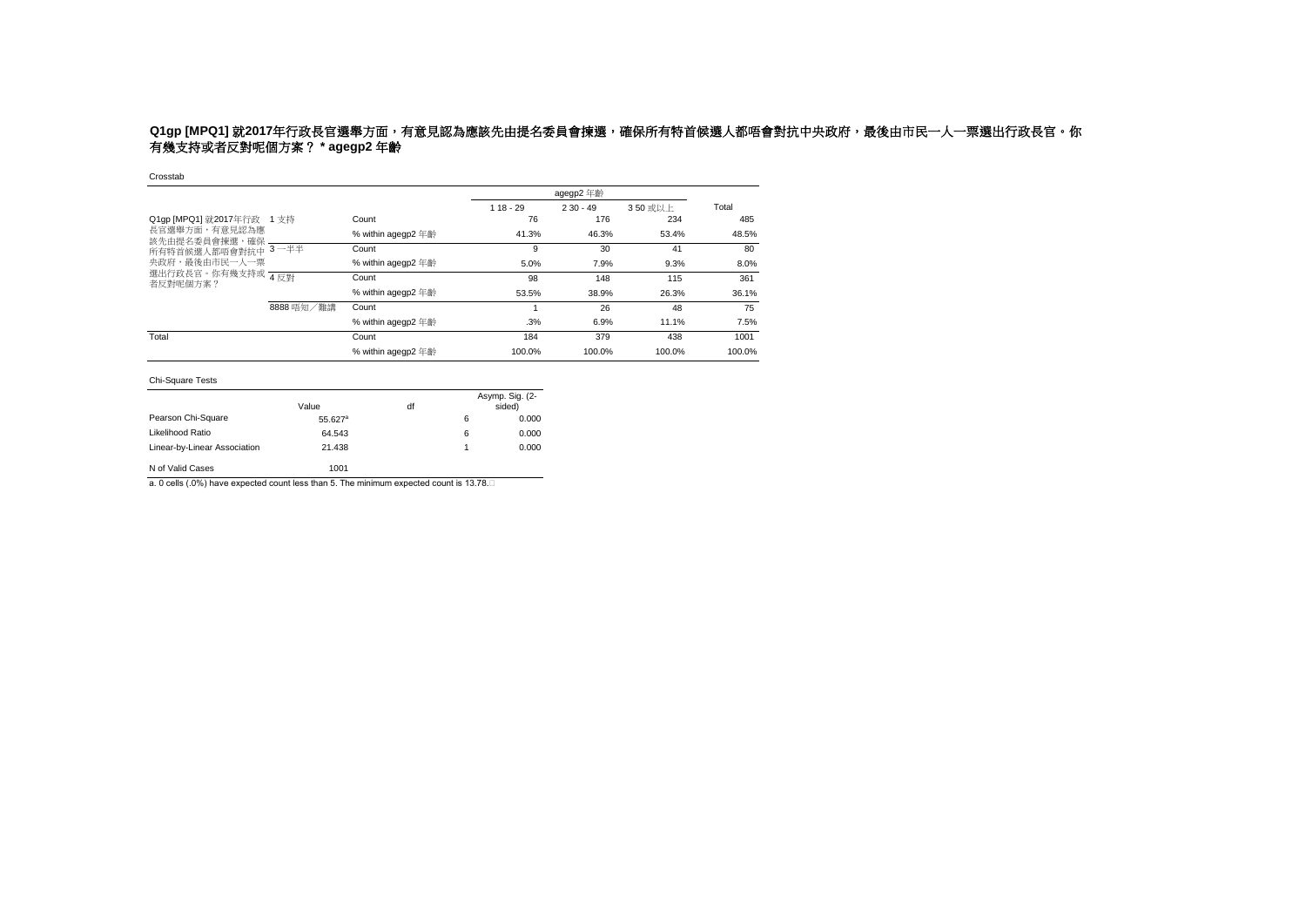### Q1gp [MPQ1] 就2017年行政長官選舉方面,有意見認為應該先由提名委員會揀選,確保所有特首候選人都唔會對抗中央政府,最後由市民一人一票選出行政長官。你 有幾支持或者反對呢個方案? **\* agegp2** 年齡

#### Crosstab

|                                |            |                    |            | agegp2 年齡  |        |        |
|--------------------------------|------------|--------------------|------------|------------|--------|--------|
|                                |            |                    | $118 - 29$ | $230 - 49$ | 350或以上 | Total  |
| Q1qp [MPQ1] 就2017年行政 1 支持      |            | Count              | 76         | 176        | 234    | 485    |
| 長官選舉方面,有意見認為應<br>該先由提名委員會揀選,確保 |            | % within agegp2 年齡 | 41.3%      | 46.3%      | 53.4%  | 48.5%  |
| 所有特首候選人都唔會對抗中 3-半半             |            | Count              | 9          | 30         | 41     | 80     |
| 央政府,最後由市民一人一票                  |            | % within agegp2 年齡 | 5.0%       | 7.9%       | 9.3%   | 8.0%   |
| 選出行政長官。你有幾支持或 4反對<br>者反對呢個方案?  |            | Count              | 98         | 148        | 115    | 361    |
|                                |            | % within agegp2 年齡 | 53.5%      | 38.9%      | 26.3%  | 36.1%  |
|                                | 8888 唔知/難講 | Count              |            | 26         | 48     | 75     |
|                                |            | % within agegp2 年齡 | .3%        | 6.9%       | 11.1%  | 7.5%   |
| Total                          |            | Count              | 184        | 379        | 438    | 1001   |
|                                |            | % within agegp2 年齡 | 100.0%     | 100.0%     | 100.0% | 100.0% |

### Chi-Square Tests

|                              | Value      | df |   | Asymp. Sig. (2-<br>sided) |
|------------------------------|------------|----|---|---------------------------|
| Pearson Chi-Square           | $55.627^a$ |    | 6 | 0.000                     |
| Likelihood Ratio             | 64.543     |    | 6 | 0.000                     |
| Linear-by-Linear Association | 21.438     |    |   | 0.000                     |
| N of Valid Cases             | 1001       |    |   |                           |

a. 0 cells (.0%) have expected count less than 5. The minimum expected count is 13.78.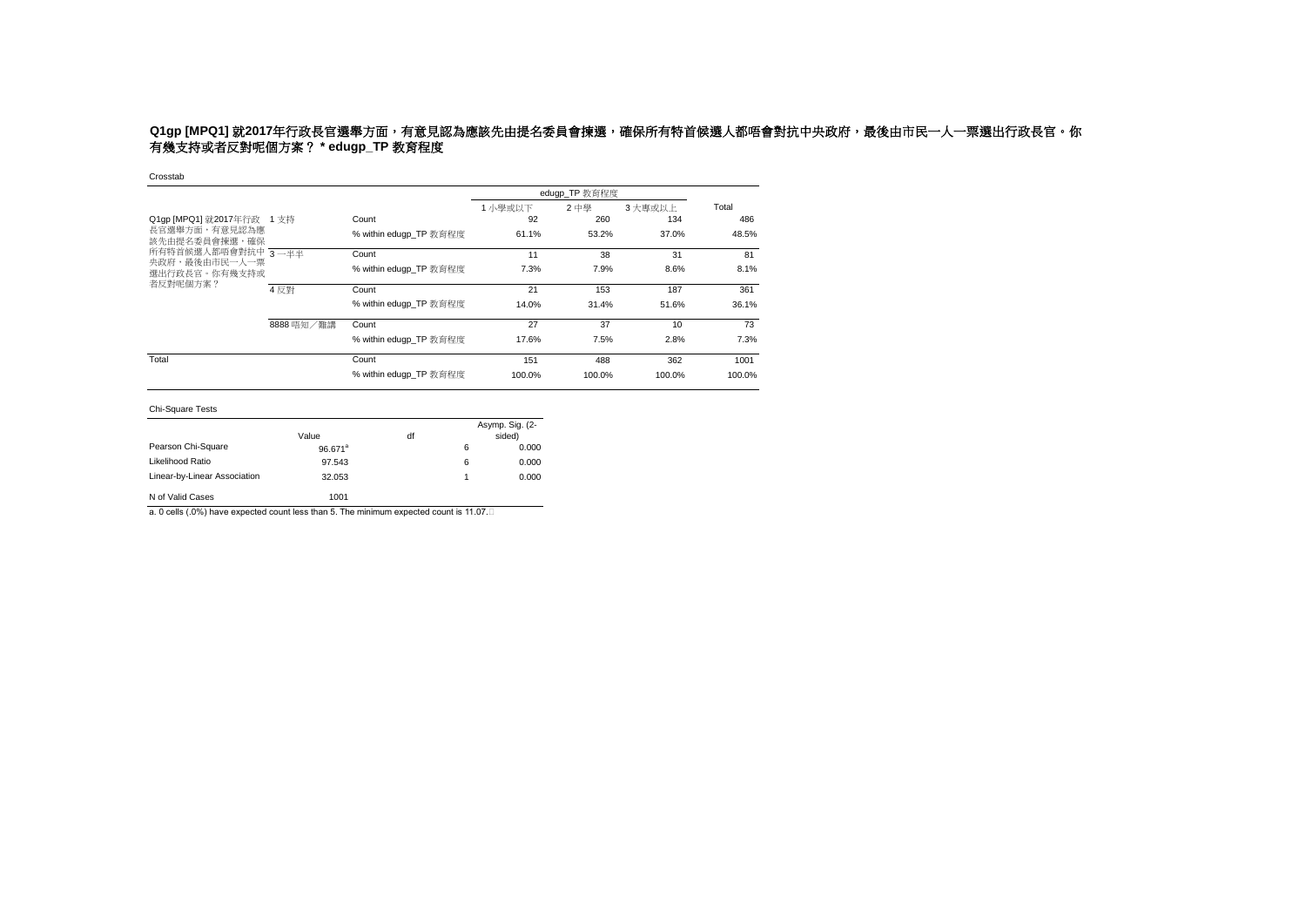# **Q1gp [MPQ1] 就2017年行政長官選舉方面,有意見認為應該先由提名委員會揀選,確保所有特首候選人都唔會對抗中央政府,最後由市民一人一票選出行政長官。你** 有幾支持或者反對呢個方案? **\* edugp\_TP** 教育程度

Crosstab

|                                                                                                                     |            |                        |         | edugp_TP 教育程度 |                 |        |
|---------------------------------------------------------------------------------------------------------------------|------------|------------------------|---------|---------------|-----------------|--------|
|                                                                                                                     |            |                        | 1 小學或以下 | 2 中學          | 3大專或以上          | Total  |
| Q1gp [MPQ1] 就2017年行政 1 支持<br>長官選舉方面,有意見認為應<br>該先由提名委員會揀選,確保<br>所有特首候選人都唔會對抗中 3—半半<br>央政府,最後由市民一人一票<br>撰出行政長官。你有幾支持或 |            | Count                  | 92      | 260           | 134             | 486    |
|                                                                                                                     |            | % within edugp TP 教育程度 | 61.1%   | 53.2%         | 37.0%           | 48.5%  |
|                                                                                                                     |            | Count                  | 11      | 38            | 31              | 81     |
|                                                                                                                     |            | % within eduap TP 教育程度 | 7.3%    | 7.9%          | 8.6%            | 8.1%   |
| 者反對呢個方案?                                                                                                            | 4 反對       | Count                  | 21      | 153           | 187             | 361    |
|                                                                                                                     |            | % within eduap TP 教育程度 | 14.0%   | 31.4%         | 51.6%           | 36.1%  |
|                                                                                                                     | 8888 唔知/難講 | Count                  | 27      | 37            | 10 <sup>1</sup> | 73     |
|                                                                                                                     |            | % within eduap TP 教育程度 | 17.6%   | 7.5%          | 2.8%            | 7.3%   |
| Total                                                                                                               |            | Count                  | 151     | 488           | 362             | 1001   |
|                                                                                                                     |            | % within edugp TP 教育程度 | 100.0%  | 100.0%        | 100.0%          | 100.0% |

### Chi-Square Tests

|                              | Value      | df |   | Asymp. Sig. (2-<br>sided) |
|------------------------------|------------|----|---|---------------------------|
| Pearson Chi-Square           | $96.671^a$ |    | 6 | 0.000                     |
| Likelihood Ratio             | 97.543     |    | 6 | 0.000                     |
| Linear-by-Linear Association | 32.053     |    |   | 0.000                     |
| N of Valid Cases             | 1001       |    |   |                           |

a. 0 cells (.0%) have expected count less than 5. The minimum expected count is 11.07.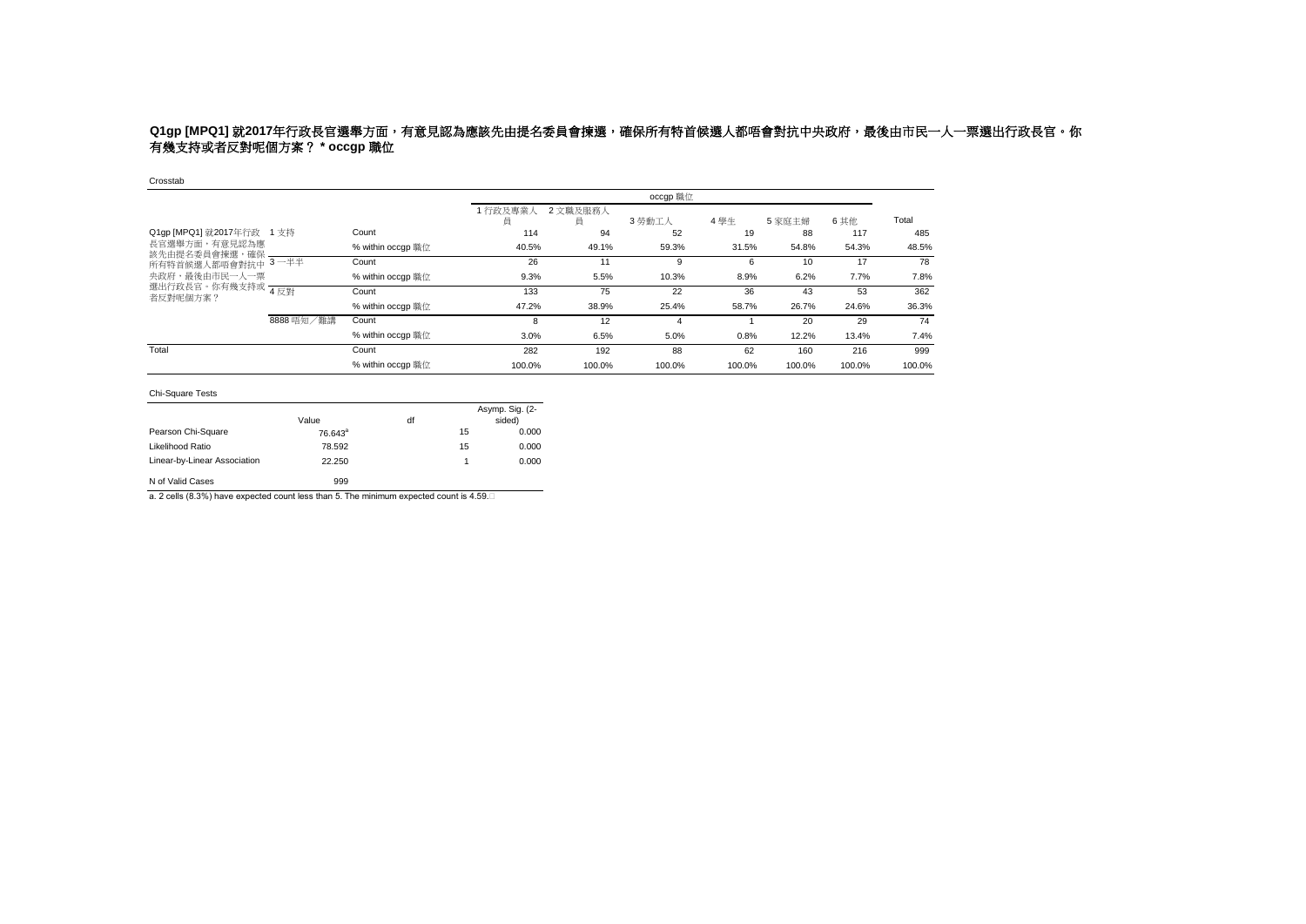# **Q1gp [MPQ1] 就2017年行政長官選舉方面,有意見認為應該先由提名委員會揀選,確保所有特首候選人都唔會對抗中央政府,最後由市民一人一票選出行政長官。你** 有幾支持或者反對呢個方案? **\* occgp** 職位

Crosstab

|                                |            |                   |             |               | occgp 職位 |        |        |        |        |
|--------------------------------|------------|-------------------|-------------|---------------|----------|--------|--------|--------|--------|
|                                |            |                   | 行政及專業人<br>員 | 2 文職及服務人<br>員 | 3 勞動工人   | 4學生    | 5 家庭主婦 | 6其他    | Total  |
| Q1gp [MPQ1] 就2017年行政 1 支持      |            | Count             | 114         | 94            | 52       | 19     | 88     | 117    | 485    |
| 長官選舉方面,有意見認為應<br>該先由提名委員會揀選,確保 |            | % within occqp 職位 | 40.5%       | 49.1%         | 59.3%    | 31.5%  | 54.8%  | 54.3%  | 48.5%  |
| 所有特首候選人都唔會對抗中 3-半半             |            | Count             | 26          | 11            | 9        | 6      | 10     | 17     | 78     |
| 央政府,最後由市民一人一票                  |            | % within occgp 職位 | 9.3%        | 5.5%          | 10.3%    | 8.9%   | 6.2%   | 7.7%   | 7.8%   |
| 選出行政長官。你有幾支持或 4反對<br>者反對呢個方案?  |            | Count             | 133         | 75            | 22       | 36     | 43     | 53     | 362    |
|                                |            | % within occgp 職位 | 47.2%       | 38.9%         | 25.4%    | 58.7%  | 26.7%  | 24.6%  | 36.3%  |
|                                | 8888 唔知/難講 | Count             | 8           | 12            | 4        |        | 20     | 29     | 74     |
|                                |            | % within occqp 職位 | 3.0%        | 6.5%          | 5.0%     | 0.8%   | 12.2%  | 13.4%  | 7.4%   |
| Total                          |            | Count             | 282         | 192           | 88       | 62     | 160    | 216    | 999    |
|                                |            | % within occap 職位 | 100.0%      | 100.0%        | 100.0%   | 100.0% | 100.0% | 100.0% | 100.0% |

### Chi-Square Tests

|                              | Value      | df |    | Asymp. Sig. (2-<br>sided) |
|------------------------------|------------|----|----|---------------------------|
| Pearson Chi-Square           | $76.643^a$ |    | 15 | 0.000                     |
| Likelihood Ratio             | 78.592     |    | 15 | 0.000                     |
| Linear-by-Linear Association | 22.250     |    | 1  | 0.000                     |
| N of Valid Cases             | 999        |    |    |                           |

a. 2 cells (8.3%) have expected count less than 5. The minimum expected count is 4.59.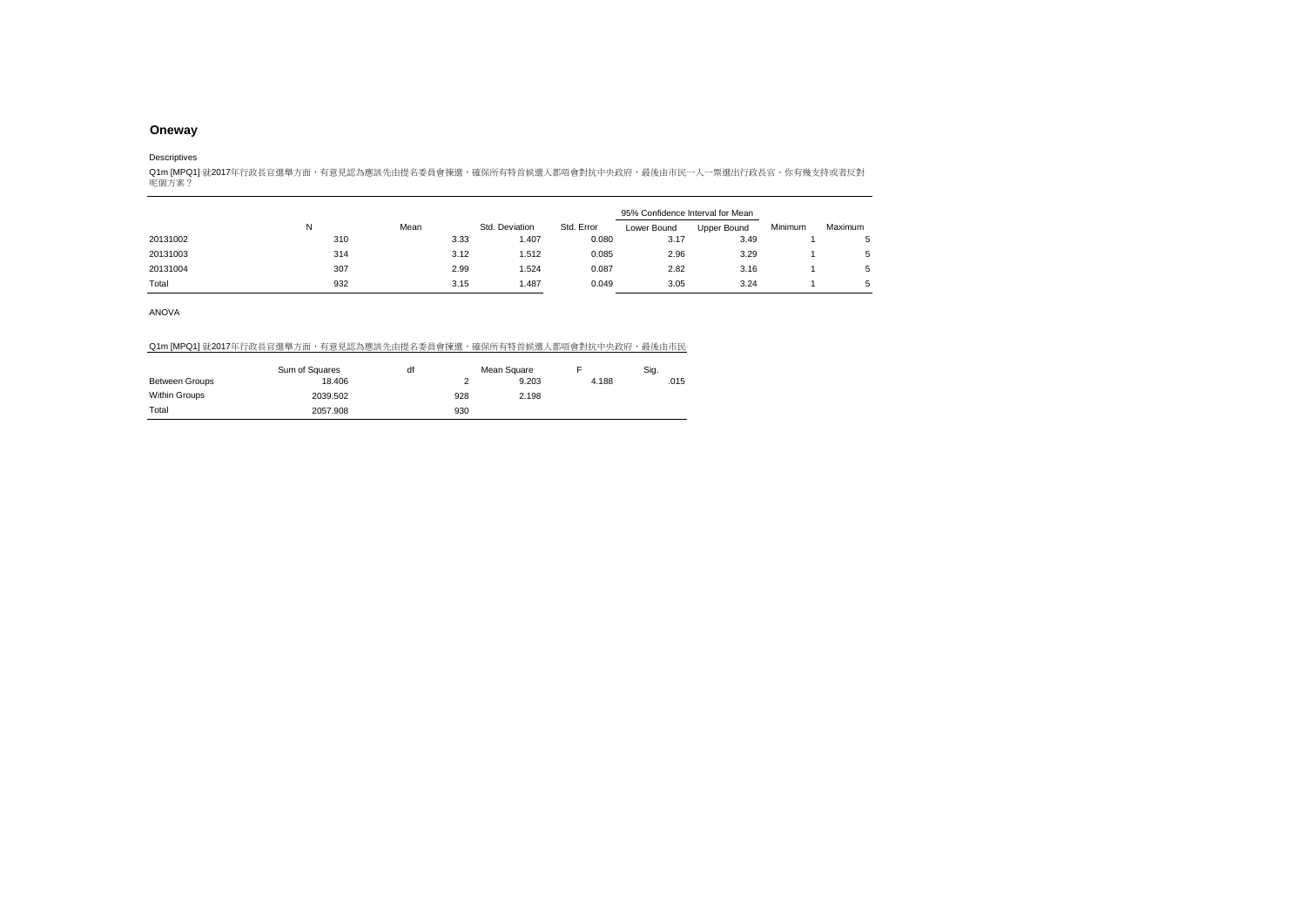#### Descriptives

Q1m [MPQ1] 就2017年行政長官選舉方面,有意見認為應該先由提名委員會揀選,確保所有特首候選人都唔會對抗中央政府,最後由市民一人一票選出行政長官。你有幾支持或者反對<br>呢個方案?

|          |     |      |                |            | 95% Confidence Interval for Mean |             |         |         |
|----------|-----|------|----------------|------------|----------------------------------|-------------|---------|---------|
|          | N   | Mean | Std. Deviation | Std. Error | Lower Bound                      | Upper Bound | Minimum | Maximum |
| 20131002 | 310 | 3.33 | 1.407          | 0.080      | 3.17                             | 3.49        |         |         |
| 20131003 | 314 | 3.12 | 1.512          | 0.085      | 2.96                             | 3.29        |         |         |
| 20131004 | 307 | 2.99 | 1.524          | 0.087      | 2.82                             | 3.16        |         |         |
| Total    | 932 | 3.15 | 1.487          | 0.049      | 3.05                             | 3.24        |         |         |

ANOVA

### Q1m [MPQ1] 就2017年行政長官選舉方面,有意見認為應該先由提名委員會揀選,確保所有特首候選人都唔會對抗中央政府,最後由市民

|                       | Sum of Squares | df |     | Mean Square |       | Sig. |
|-----------------------|----------------|----|-----|-------------|-------|------|
| <b>Between Groups</b> | 18.406         |    |     | 9.203       | 4.188 | .015 |
| Within Groups         | 2039.502       |    | 928 | 2.198       |       |      |
| Total                 | 2057.908       |    | 930 |             |       |      |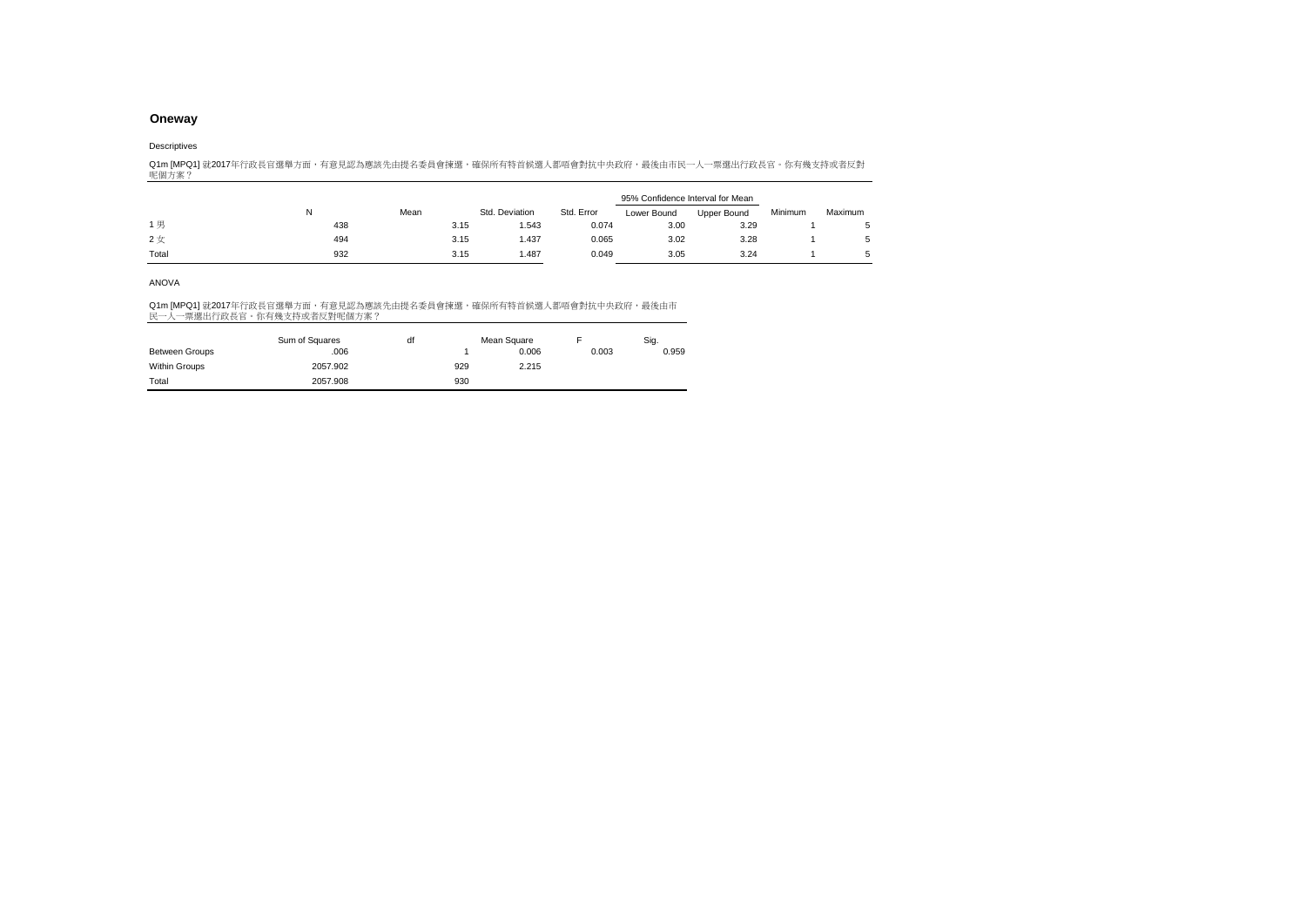### Descriptives

Q1m [MPQ1] 就2017年行政長官選舉方面,有意見認為應該先由提名委員會揀選,確保所有特首候選人都唔會對抗中央政府,最後由市民一人一票選出行政長官。你有幾支持或者反對<br>呢個方案?

|       |     |      |                |            | 95% Confidence Interval for Mean |             |         |         |
|-------|-----|------|----------------|------------|----------------------------------|-------------|---------|---------|
|       | N   | Mean | Std. Deviation | Std. Error | Lower Bound                      | Upper Bound | Minimum | Maximum |
| 1男    | 438 | 3.15 | .543           | 0.074      | 3.00                             | 3.29        |         |         |
| 2女    | 494 | 3.15 | 1.437          | 0.065      | 3.02                             | 3.28        |         | 5       |
| Total | 932 | 3.15 | 1.487          | 0.049      | 3.05                             | 3.24        |         |         |

### ANOVA

|                | Sum of Squares | df |     | Mean Square |       | Sig.  |
|----------------|----------------|----|-----|-------------|-------|-------|
| Between Groups | .006           |    |     | 0.006       | 0.003 | 0.959 |
| Within Groups  | 2057.902       |    | 929 | 2.215       |       |       |
| Total          | 2057.908       |    | 930 |             |       |       |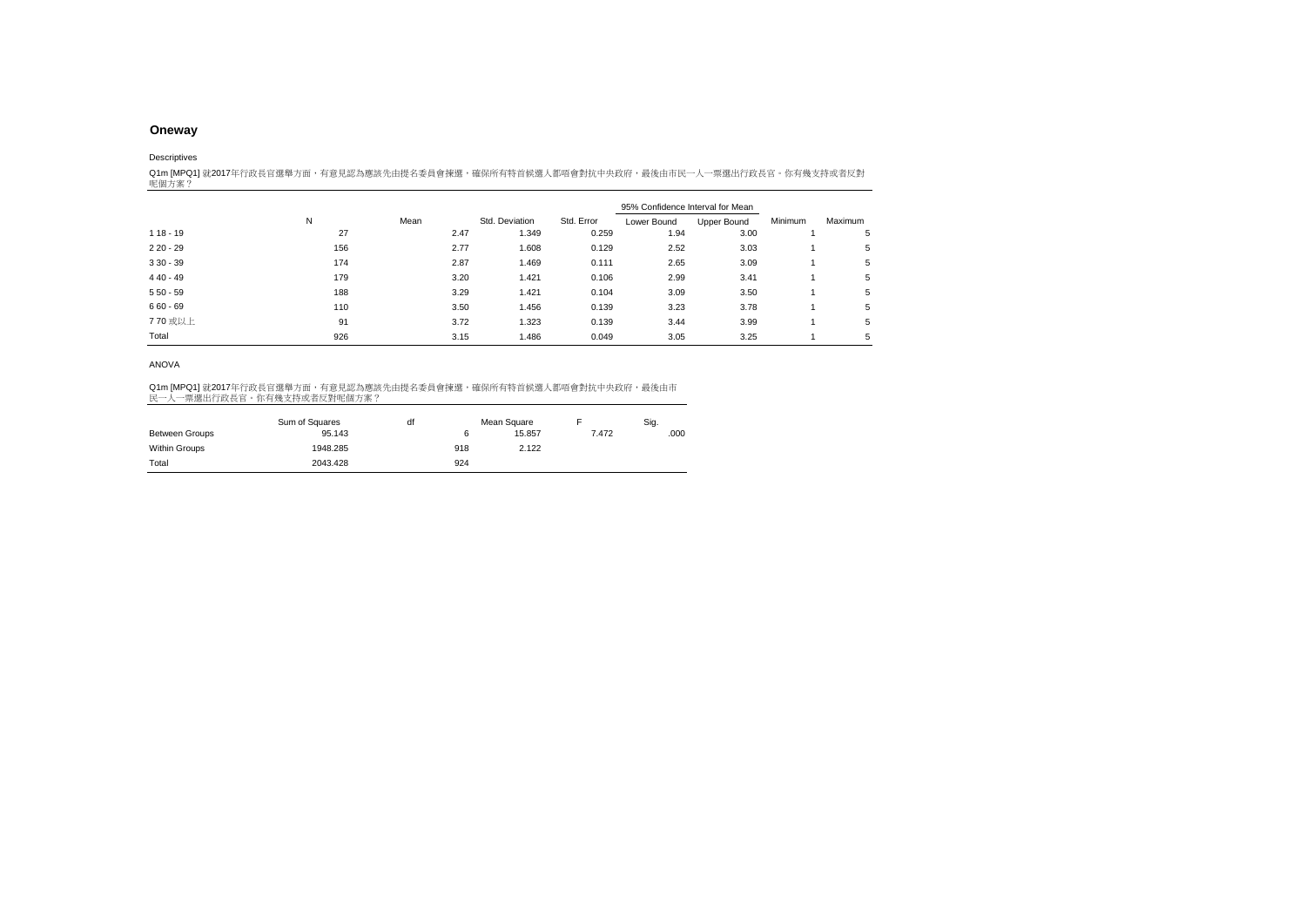Descriptives

Q1m [MPQ1] 就2017年行政長官選舉方面,有意見認為應該先由提名委員會揀選,確保所有特首候選人都唔會對抗中央政府,最後由市民一人一票選出行政長官。你有幾支持或者反對<br>呢個方案?

|            |     |      |                |            | 95% Confidence Interval for Mean |             |         |         |  |
|------------|-----|------|----------------|------------|----------------------------------|-------------|---------|---------|--|
|            | N   | Mean | Std. Deviation | Std. Error | Lower Bound                      | Upper Bound | Minimum | Maximum |  |
| $118 - 19$ | 27  | 2.47 | 1.349          | 0.259      | 1.94                             | 3.00        |         | 5       |  |
| $220 - 29$ | 156 | 2.77 | 1.608          | 0.129      | 2.52                             | 3.03        |         | 5       |  |
| $330 - 39$ | 174 | 2.87 | 1.469          | 0.111      | 2.65                             | 3.09        |         | 5       |  |
| $440 - 49$ | 179 | 3.20 | 1.421          | 0.106      | 2.99                             | 3.41        |         | 5       |  |
| $550 - 59$ | 188 | 3.29 | 1.421          | 0.104      | 3.09                             | 3.50        |         | 5       |  |
| $660 - 69$ | 110 | 3.50 | 1.456          | 0.139      | 3.23                             | 3.78        |         | 5       |  |
| 770 或以上    | 91  | 3.72 | 1.323          | 0.139      | 3.44                             | 3.99        |         | 5       |  |
| Total      | 926 | 3.15 | 1.486          | 0.049      | 3.05                             | 3.25        |         | 5       |  |

ANOVA

|                       | Sum of Squares | df |     | Mean Square |       | Sig. |
|-----------------------|----------------|----|-----|-------------|-------|------|
| <b>Between Groups</b> | 95.143         |    |     | 15.857      | 7.472 | .000 |
| Within Groups         | 1948.285       |    | 918 | 2.122       |       |      |
| Total                 | 2043.428       |    | 924 |             |       |      |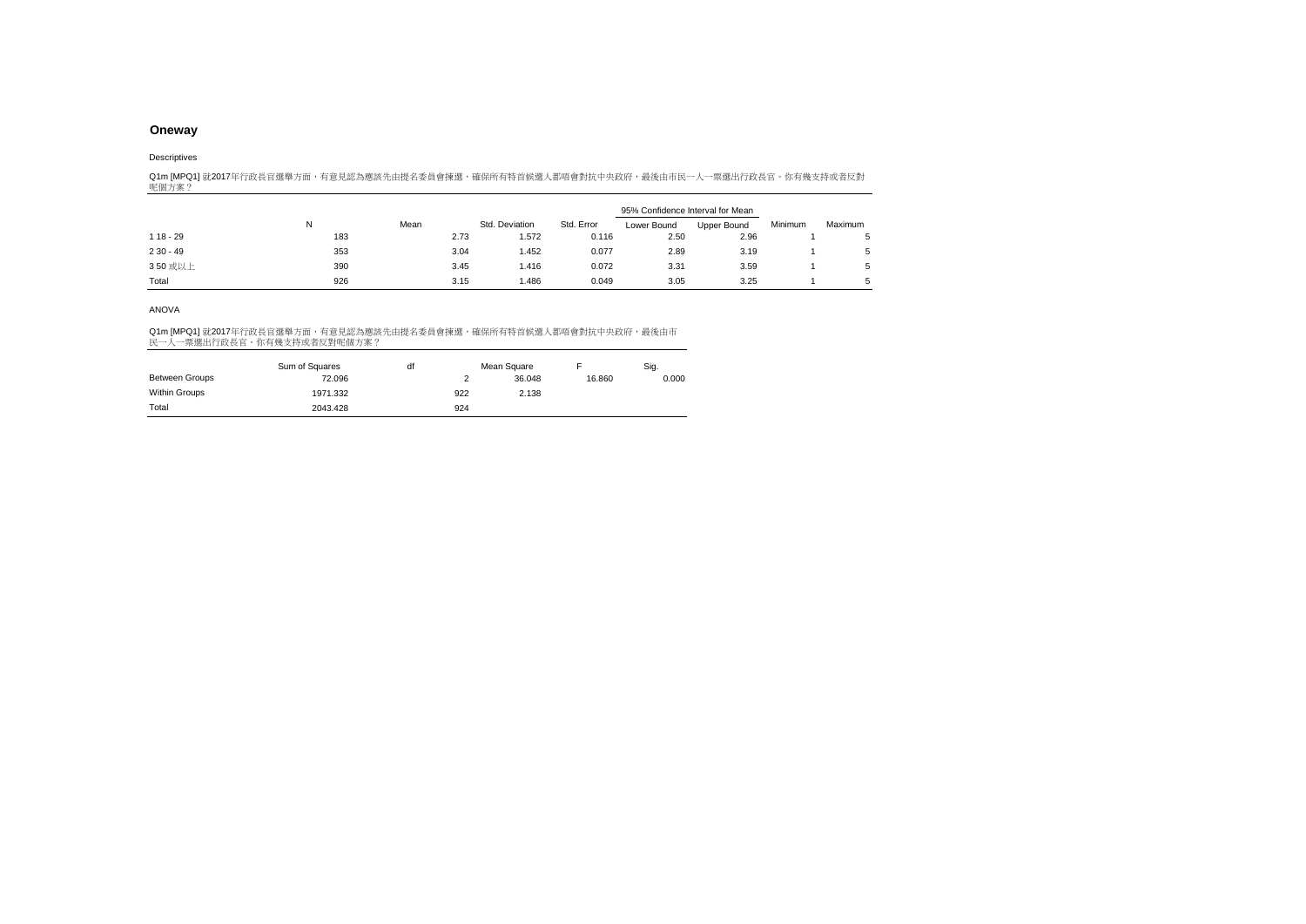#### Descriptives

Q1m [MPQ1] 就2017年行政長官選舉方面,有意見認為應該先由提名委員會揀選,確保所有特首候選人都唔會對抗中央政府,最後由市民一人一票選出行政長官。你有幾支持或者反對<br>呢個方案?

|            |     |      |                |            | 95% Confidence Interval for Mean |             |         |         |
|------------|-----|------|----------------|------------|----------------------------------|-------------|---------|---------|
|            | N   | Mean | Std. Deviation | Std. Error | Lower Bound                      | Upper Bound | Minimum | Maximum |
| $118 - 29$ | 183 | 2.73 | 1.572          | 0.116      | 2.50                             | 2.96        |         |         |
| $230 - 49$ | 353 | 3.04 | 1.452          | 0.077      | 2.89                             | 3.19        |         | 5       |
| 350 或以上    | 390 | 3.45 | 1.416          | 0.072      | 3.31                             | 3.59        |         | 5       |
| Total      | 926 | 3.15 | 1.486          | 0.049      | 3.05                             | 3.25        |         |         |

### ANOVA

|                       | Sum of Squares | df |     | Mean Square |        | Sig.  |
|-----------------------|----------------|----|-----|-------------|--------|-------|
| <b>Between Groups</b> | 72.096         |    |     | 36.048      | 16.860 | 0.000 |
| Within Groups         | 1971.332       |    | 922 | 2.138       |        |       |
| Total                 | 2043.428       |    | 924 |             |        |       |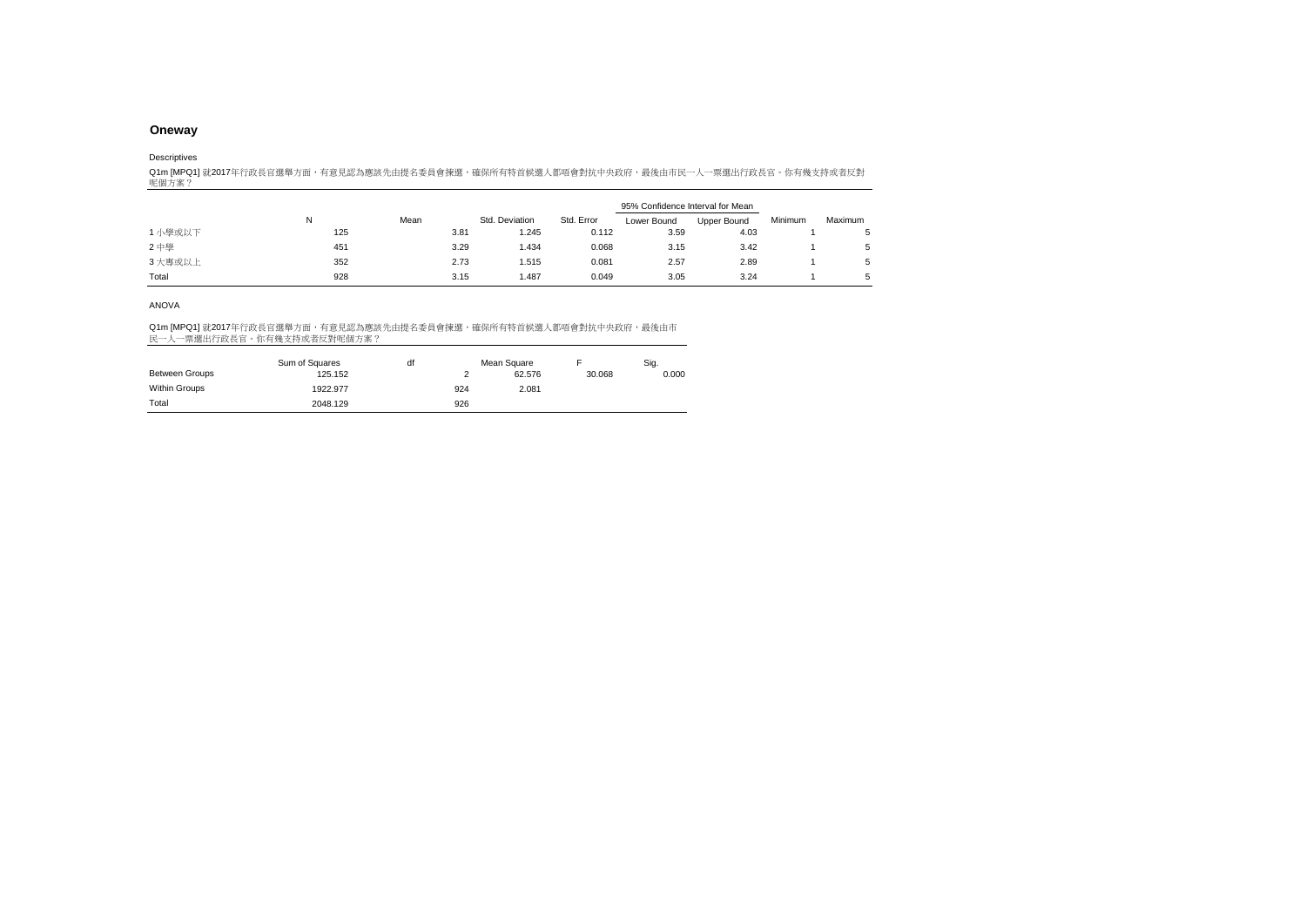Descriptives

Q1m [MPQ1] 就2017年行政長官選舉方面,有意見認為應該先由提名委員會揀選,確保所有特首候選人都唔會對抗中央政府,最後由市民一人一票選出行政長官。你有幾支持或者反對<br>呢個方案?

|         |     |      |                |            | 95% Confidence Interval for Mean |             |         |         |
|---------|-----|------|----------------|------------|----------------------------------|-------------|---------|---------|
|         | N   | Mean | Std. Deviation | Std. Error | Lower Bound                      | Upper Bound | Minimum | Maximum |
| 1 小學或以下 | 125 | 3.81 | 1.245          | 0.112      | 3.59                             | 4.03        |         |         |
| 2中學     | 451 | 3.29 | 1.434          | 0.068      | 3.15                             | 3.42        |         | 5       |
| 3 大專或以上 | 352 | 2.73 | 1.515          | 0.081      | 2.57                             | 2.89        |         |         |
| Total   | 928 | 3.15 | 1.487          | 0.049      | 3.05                             | 3.24        |         |         |

#### ANOVA

|                       | Sum of Squares | df |     | Mean Square |        | Sig.  |
|-----------------------|----------------|----|-----|-------------|--------|-------|
| <b>Between Groups</b> | 125.152        |    |     | 62.576      | 30.068 | 0.000 |
| Within Groups         | 1922.977       |    | 924 | 2.081       |        |       |
| Total                 | 2048.129       |    | 926 |             |        |       |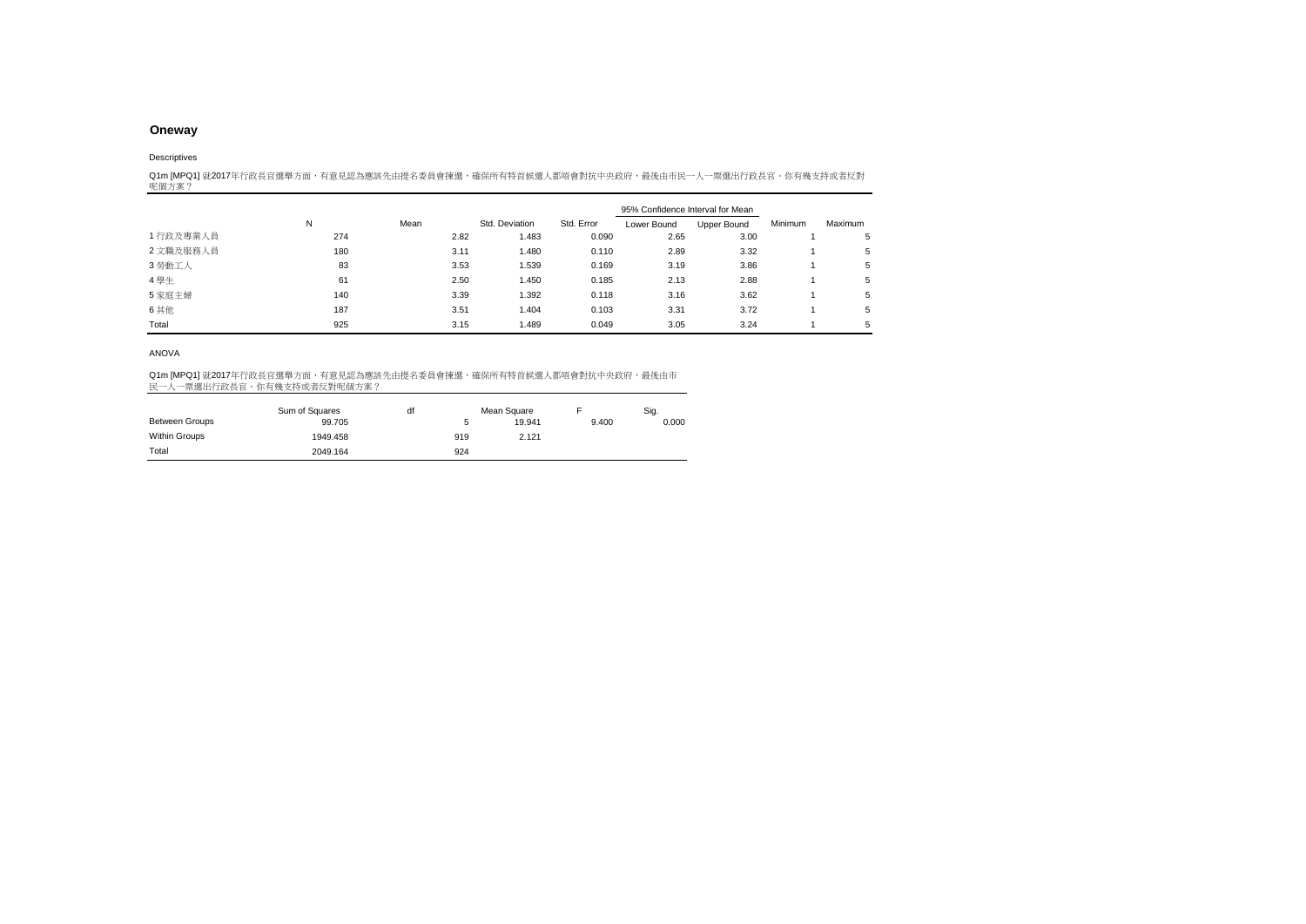#### Descriptives

Q1m [MPQ1] 就2017年行政長官選舉方面,有意見認為應該先由提名委員會揀選,確保所有特首候選人都唔會對抗中央政府,最後由市民一人一票選出行政長官。你有幾支持或者反對<br>呢個方案?

|           |     |      |                |            | 95% Confidence Interval for Mean |             |         |         |
|-----------|-----|------|----------------|------------|----------------------------------|-------------|---------|---------|
|           | N   | Mean | Std. Deviation | Std. Error | Lower Bound                      | Upper Bound | Minimum | Maximum |
| 1 行政及專業人員 | 274 | 2.82 | 1.483          | 0.090      | 2.65                             | 3.00        |         | 5       |
| 2 文職及服務人員 | 180 | 3.11 | 1.480          | 0.110      | 2.89                             | 3.32        |         | 5       |
| 3 勞動工人    | 83  | 3.53 | 1.539          | 0.169      | 3.19                             | 3.86        |         | 5       |
| 4學生       | 61  | 2.50 | 1.450          | 0.185      | 2.13                             | 2.88        |         | 5       |
| 5家庭主婦     | 140 | 3.39 | 1.392          | 0.118      | 3.16                             | 3.62        |         | 5       |
| 6 其他      | 187 | 3.51 | 1.404          | 0.103      | 3.31                             | 3.72        |         | 5       |
| Total     | 925 | 3.15 | 1.489          | 0.049      | 3.05                             | 3.24        |         | 5       |

### ANOVA

|                       | Sum of Squares | df |     | Mean Square |       | Sig.  |
|-----------------------|----------------|----|-----|-------------|-------|-------|
| <b>Between Groups</b> | 99.705         |    |     | 19.941      | 9.400 | 0.000 |
| Within Groups         | 1949.458       |    | 919 | 2.121       |       |       |
| Total                 | 2049.164       |    | 924 |             |       |       |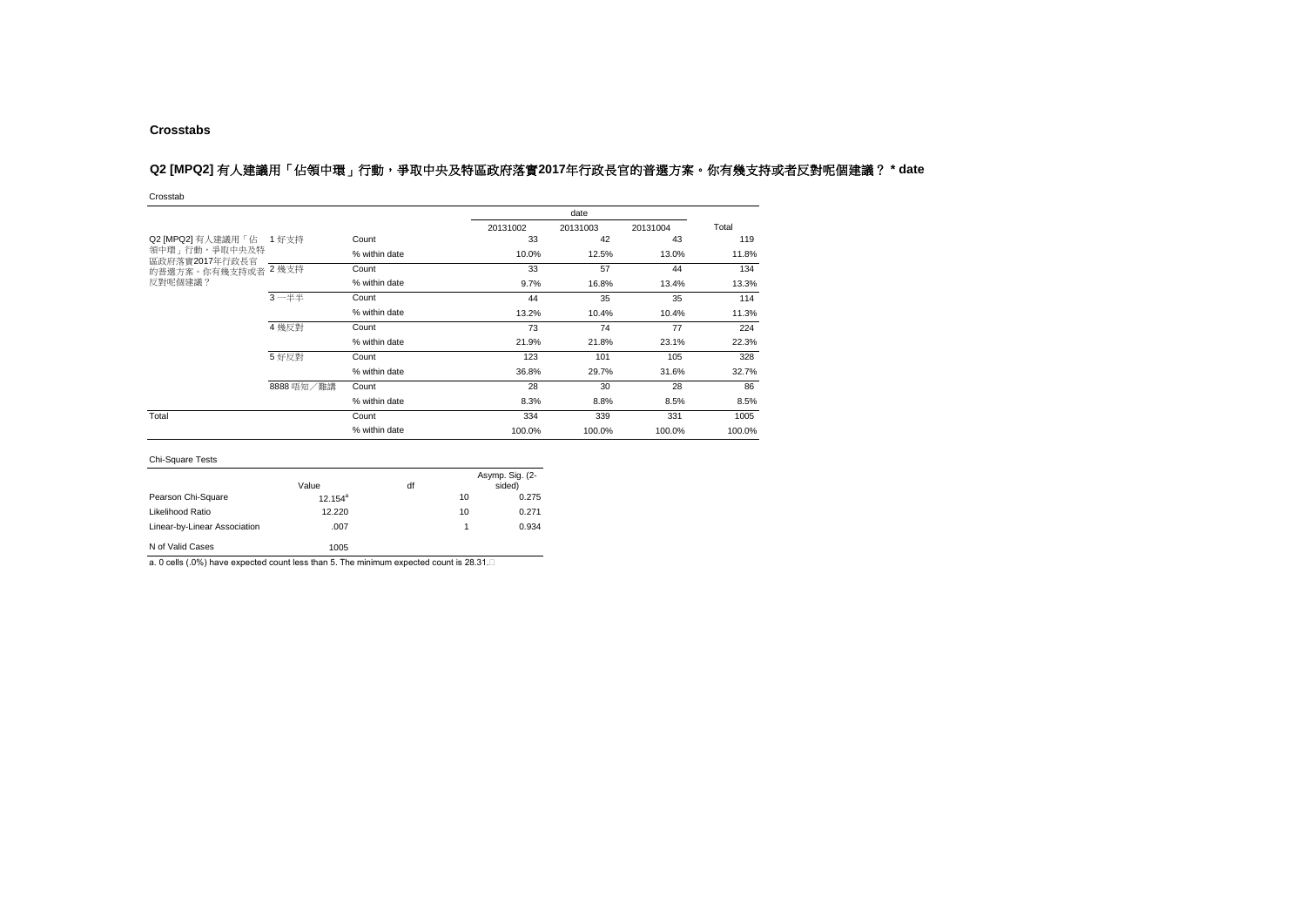### **Crosstabs**

# Q2 [MPQ2] 有人建議用「佔領中環」行動,爭取中央及特區政府落實2017年行政長官的普選方案。你有幾支持或者反對呢個建議? \* date

Crosstab

|                                 |            |               |          | date     |          |        |  |
|---------------------------------|------------|---------------|----------|----------|----------|--------|--|
|                                 |            |               | 20131002 | 20131003 | 20131004 | Total  |  |
| Q2 [MPQ2] 有人建議用「佔 1 好支持         |            | Count         | 33       | 42       | 43       | 119    |  |
| 領中環」行動,爭取中央及特<br>區政府落實2017年行政長官 |            | % within date | 10.0%    | 12.5%    | 13.0%    | 11.8%  |  |
| 的普選方案。你有幾支持或者 2 幾支持             |            | Count         | 33       | 57       | 44       | 134    |  |
| 反對呢個建議?                         |            | % within date | 9.7%     | 16.8%    | 13.4%    | 13.3%  |  |
|                                 | $3 - ##$   | Count         | 44       | 35       | 35       | 114    |  |
|                                 |            | % within date | 13.2%    | 10.4%    | 10.4%    | 11.3%  |  |
|                                 | 4 幾反對      | Count         | 73       | 74       | 77       | 224    |  |
|                                 |            | % within date | 21.9%    | 21.8%    | 23.1%    | 22.3%  |  |
|                                 | 5 好反對      | Count         | 123      | 101      | 105      | 328    |  |
|                                 |            | % within date | 36.8%    | 29.7%    | 31.6%    | 32.7%  |  |
|                                 | 8888 唔知/難講 | Count         | 28       | 30       | 28       | 86     |  |
|                                 |            | % within date | 8.3%     | 8.8%     | 8.5%     | 8.5%   |  |
| Total                           |            | Count         | 334      | 339      | 331      | 1005   |  |
|                                 |            | % within date | 100.0%   | 100.0%   | 100.0%   | 100.0% |  |

### Chi-Square Tests

| _ _                          |            |    |    |                           |
|------------------------------|------------|----|----|---------------------------|
|                              | Value      | df |    | Asymp. Sig. (2-<br>sided) |
| Pearson Chi-Square           | $12.154^a$ |    | 10 | 0.275                     |
| Likelihood Ratio             | 12.220     |    | 10 | 0.271                     |
| Linear-by-Linear Association | .007       |    | 1  | 0.934                     |
| N of Valid Cases             | 1005       |    |    |                           |

a. 0 cells (.0%) have expected count less than 5. The minimum expected count is 28.31.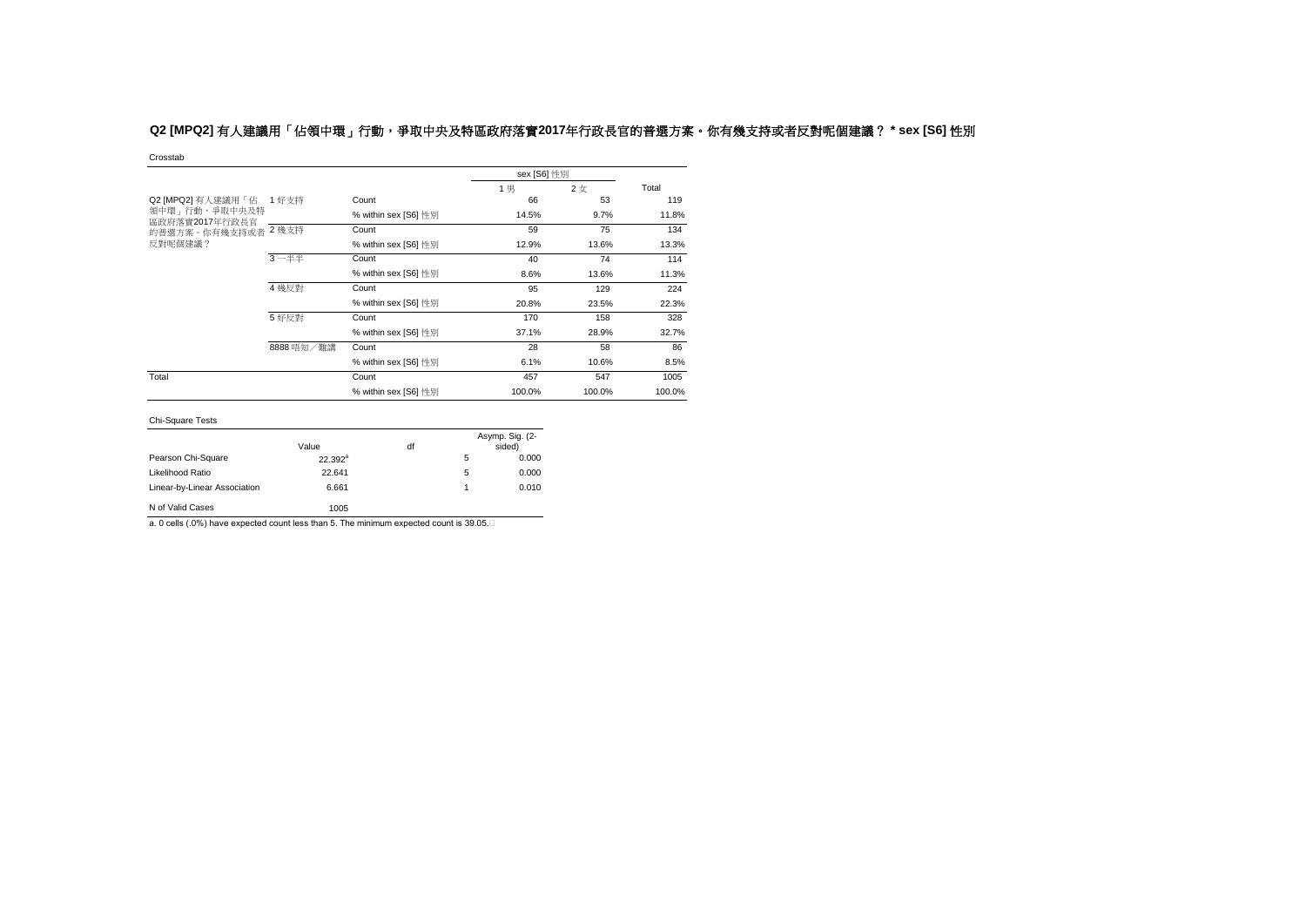# **Q2 [MPQ2]** 有人建議用「佔領中環」行動,爭取中央及特區政府落實**2017**年行政長官的普選方案。你有幾支持或者反對呢個建議? **\* sex [S6]** 性別

#### Crosstab

|                                                              |            |                      |        | sex [S6] 性別 |        |  |  |
|--------------------------------------------------------------|------------|----------------------|--------|-------------|--------|--|--|
|                                                              |            |                      | 1男     | 2女          | Total  |  |  |
| Q2 [MPQ2] 有人建議用「佔 1 好支持<br>領中環 - 行動,爭取中央及特<br>區政府落實2017年行政長官 |            | Count                | 66     | 53          | 119    |  |  |
|                                                              |            | % within sex [S6] 性別 | 14.5%  | 9.7%        | 11.8%  |  |  |
| 的普選方案。你有幾支持或者                                                | 2 幾支持      | Count                | 59     | 75          | 134    |  |  |
| 反對呢個建議?                                                      |            | % within sex [S6] 性別 | 12.9%  | 13.6%       | 13.3%  |  |  |
|                                                              | $3 - ##$   | Count                | 40     | 74          | 114    |  |  |
|                                                              |            | % within sex [S6] 性別 | 8.6%   | 13.6%       | 11.3%  |  |  |
|                                                              | 4 幾反對      | Count                | 95     | 129         | 224    |  |  |
|                                                              |            | % within sex [S6] 性別 | 20.8%  | 23.5%       | 22.3%  |  |  |
|                                                              | 5 好反對      | Count                | 170    | 158         | 328    |  |  |
|                                                              |            | % within sex [S6] 性別 | 37.1%  | 28.9%       | 32.7%  |  |  |
|                                                              | 8888 唔知/難講 | Count                | 28     | 58          | 86     |  |  |
|                                                              |            | % within sex [S6] 性別 | 6.1%   | 10.6%       | 8.5%   |  |  |
| Total                                                        |            | Count                | 457    | 547         | 1005   |  |  |
|                                                              |            | % within sex [S6] 性別 | 100.0% | 100.0%      | 100.0% |  |  |

### Chi-Square Tests

| <b>UITUUUGIU TUJU</b>        |            |    |   |                           |
|------------------------------|------------|----|---|---------------------------|
|                              | Value      | df |   | Asymp. Sig. (2-<br>sided) |
|                              |            |    |   |                           |
| Pearson Chi-Square           | $22.392^a$ |    | 5 | 0.000                     |
| Likelihood Ratio             | 22.641     |    | 5 | 0.000                     |
| Linear-by-Linear Association | 6.661      |    | 1 | 0.010                     |
| N of Valid Cases             | 1005       |    |   |                           |

a. 0 cells (.0%) have expected count less than 5. The minimum expected count is 39.05.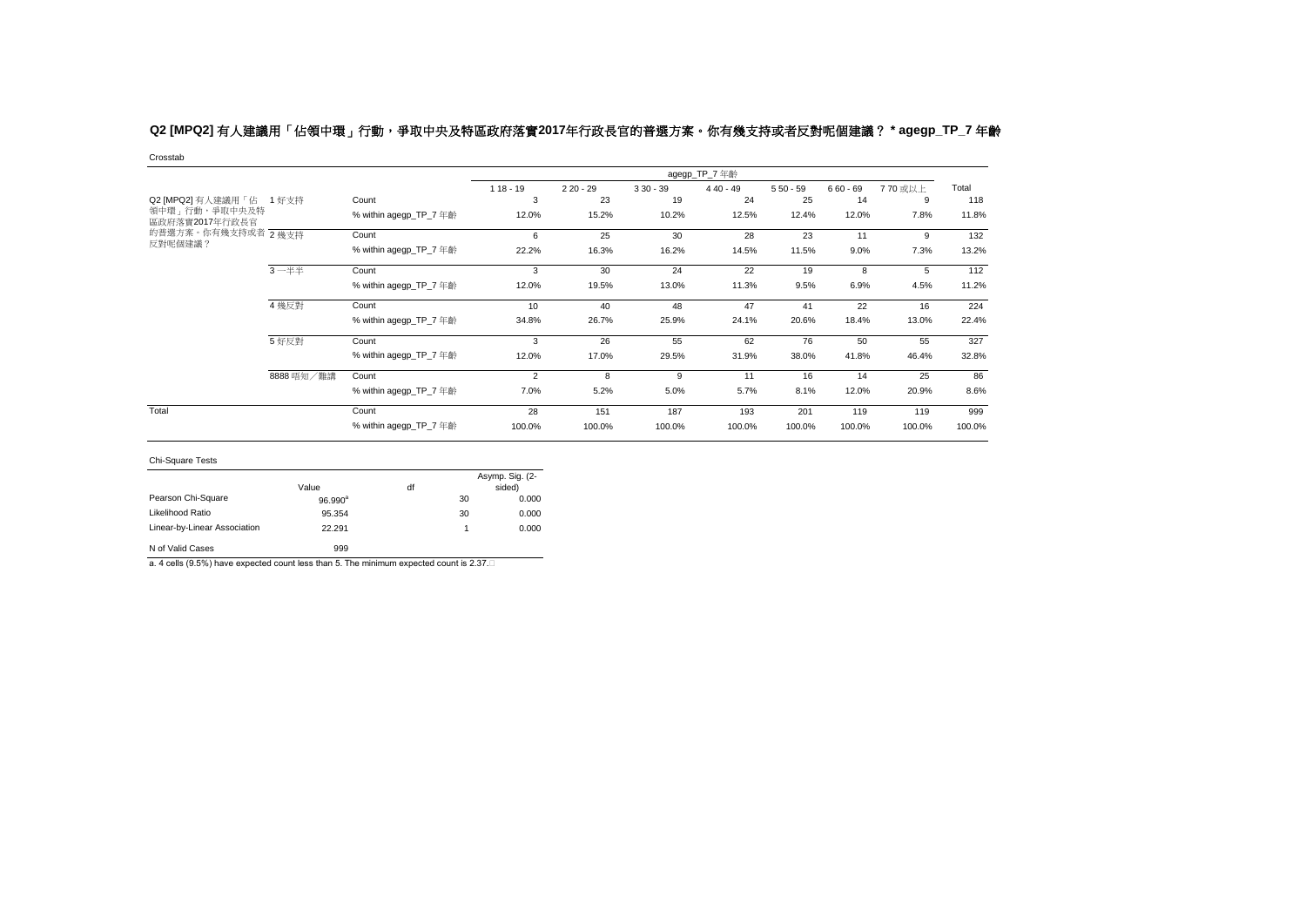# **Q2 [MPQ2]** 有人建議用「佔領中環」行動,爭取中央及特區政府落實**2017**年行政長官的普選方案。你有幾支持或者反對呢個建議? **\* agegp\_TP\_7** 年齡

Crosstab

|                                   |            |                        |                |            |            | agegp_TP_7 年齡 |            |            |         |        |
|-----------------------------------|------------|------------------------|----------------|------------|------------|---------------|------------|------------|---------|--------|
|                                   |            |                        | $118 - 19$     | $220 - 29$ | $330 - 39$ | $440 - 49$    | $550 - 59$ | $660 - 69$ | 770 或以上 | Total  |
| Q2 [MPQ2] 有人建議用「佔 1 好支持           |            | Count                  | 3              | 23         | 19         | 24            | 25         | 14         | 9       | 118    |
| 領中環 - 行動,爭取中央及特<br>區政府落實2017年行政長官 |            | % within agegp_TP_7 年齡 | 12.0%          | 15.2%      | 10.2%      | 12.5%         | 12.4%      | 12.0%      | 7.8%    | 11.8%  |
| 的普選方案。你有幾支持或者 2幾支持                |            | Count                  | 6              | 25         | 30         | 28            | 23         | 11         | 9       | 132    |
| 反對呢個建議?                           |            | % within agegp_TP_7 年齡 | 22.2%          | 16.3%      | 16.2%      | 14.5%         | 11.5%      | 9.0%       | 7.3%    | 13.2%  |
|                                   | $3 - 44$   | Count                  | 3              | 30         | 24         | 22            | 19         | 8          | 5       | 112    |
|                                   |            | % within agegp_TP_7 年齡 | 12.0%          | 19.5%      | 13.0%      | 11.3%         | 9.5%       | 6.9%       | 4.5%    | 11.2%  |
|                                   | 4 幾反對      | Count                  | 10             | 40         | 48         | 47            | 41         | 22         | 16      | 224    |
|                                   |            | % within agegp_TP_7 年齡 | 34.8%          | 26.7%      | 25.9%      | 24.1%         | 20.6%      | 18.4%      | 13.0%   | 22.4%  |
|                                   | 5 好反對      | Count                  | 3              | 26         | 55         | 62            | 76         | 50         | 55      | 327    |
|                                   |            | % within agegp_TP_7 年齡 | 12.0%          | 17.0%      | 29.5%      | 31.9%         | 38.0%      | 41.8%      | 46.4%   | 32.8%  |
|                                   | 8888 唔知/難講 | Count                  | $\overline{2}$ | 8          | 9          | 11            | 16         | 14         | 25      | 86     |
|                                   |            | % within agegp_TP_7 年齡 | 7.0%           | 5.2%       | 5.0%       | 5.7%          | 8.1%       | 12.0%      | 20.9%   | 8.6%   |
| Total                             |            | Count                  | 28             | 151        | 187        | 193           | 201        | 119        | 119     | 999    |
|                                   |            | % within agegp_TP_7 年齡 | 100.0%         | 100.0%     | 100.0%     | 100.0%        | 100.0%     | 100.0%     | 100.0%  | 100.0% |

Chi-Square Tests

|                              | Value            | df |    | Asymp. Sig. (2-<br>sided) |
|------------------------------|------------------|----|----|---------------------------|
| Pearson Chi-Square           | $96.990^{\rm a}$ |    | 30 | 0.000                     |
| Likelihood Ratio             | 95.354           |    | 30 | 0.000                     |
| Linear-by-Linear Association | 22.291           |    |    | 0.000                     |
| N of Valid Cases             | 999              |    |    |                           |

a. 4 cells (9.5%) have expected count less than 5. The minimum expected count is 2.37.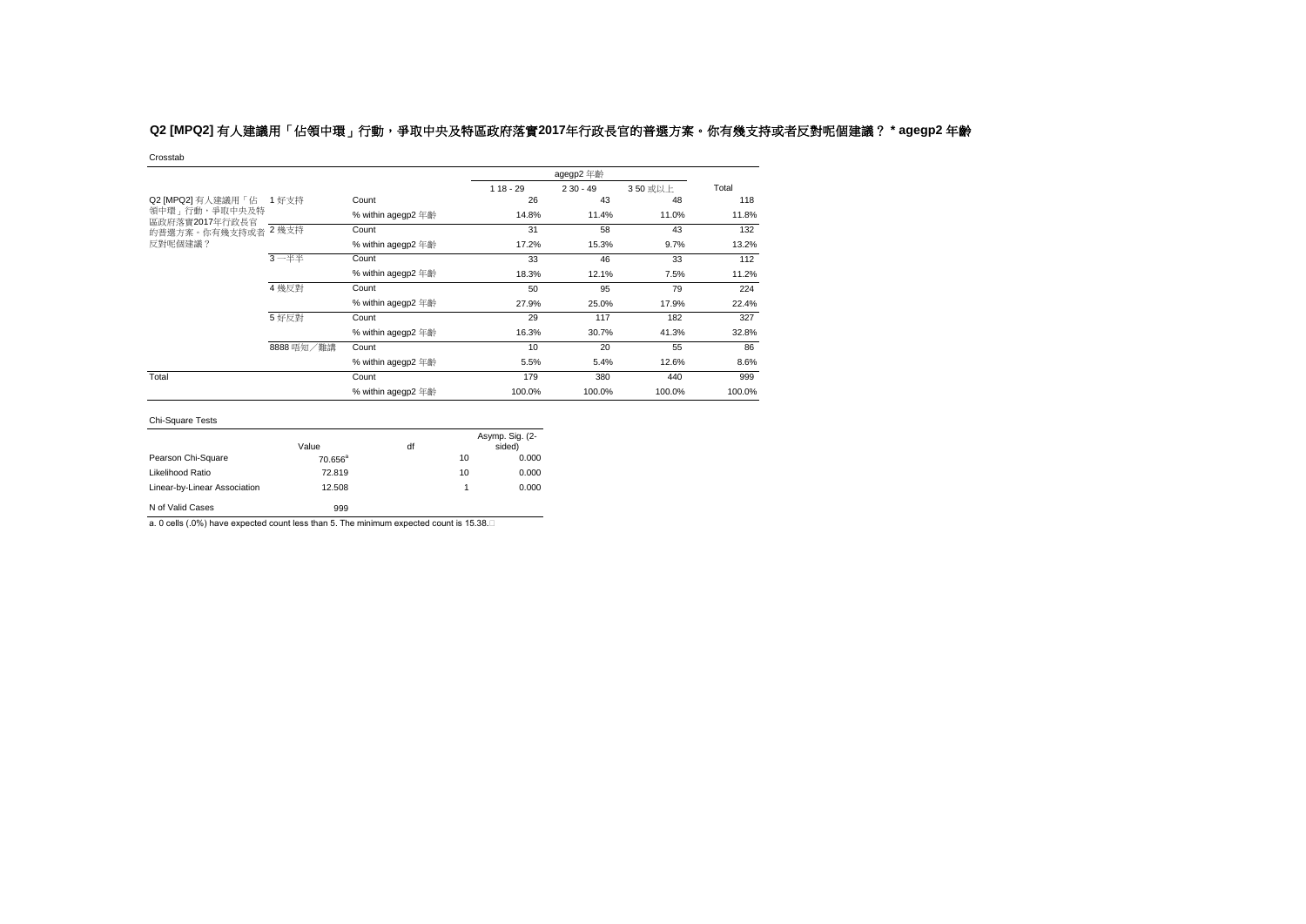# **Q2 [MPQ2]** 有人建議用「佔領中環」行動,爭取中央及特區政府落實**2017**年行政長官的普選方案。你有幾支持或者反對呢個建議? **\* agegp2** 年齡

Crosstab

|                                   |            |                    |            | agegp2 年齡  |         |        |
|-----------------------------------|------------|--------------------|------------|------------|---------|--------|
|                                   |            |                    | $118 - 29$ | $230 - 49$ | 350 或以上 | Total  |
| Q2 [MPQ2] 有人建議用「佔 1 好支持           |            | Count              | 26         | 43         | 48      | 118    |
| 領中環 - 行動,爭取中央及特<br>區政府落實2017年行政長官 |            | % within agegp2 年齡 | 14.8%      | 11.4%      | 11.0%   | 11.8%  |
| 的普選方案。你有幾支持或者 2 幾支持               |            | Count              | 31         | 58         | 43      | 132    |
| 反對呢個建議?                           |            | % within agegp2 年齡 | 17.2%      | 15.3%      | 9.7%    | 13.2%  |
|                                   | $3 - ##$   | Count              | 33         | 46         | 33      | 112    |
|                                   |            | % within agegp2 年齡 | 18.3%      | 12.1%      | 7.5%    | 11.2%  |
|                                   | 4 幾反對      | Count              | 50         | 95         | 79      | 224    |
|                                   |            | % within agegp2 年齡 | 27.9%      | 25.0%      | 17.9%   | 22.4%  |
|                                   | 5 好反對      | Count              | 29         | 117        | 182     | 327    |
|                                   |            | % within agegp2 年齡 | 16.3%      | 30.7%      | 41.3%   | 32.8%  |
|                                   | 8888 唔知/難講 | Count              | 10         | 20         | 55      | 86     |
|                                   |            | % within agegp2 年齡 | 5.5%       | 5.4%       | 12.6%   | 8.6%   |
| Total                             |            | Count              | 179        | 380        | 440     | 999    |
|                                   |            | % within agegp2 年齡 | 100.0%     | 100.0%     | 100.0%  | 100.0% |

### Chi-Square Tests

|                              | Value               | df |    | Asymp. Sig. (2-<br>sided) |
|------------------------------|---------------------|----|----|---------------------------|
| Pearson Chi-Square           | $70.656^{\text{a}}$ |    | 10 | 0.000                     |
| Likelihood Ratio             | 72.819              |    | 10 | 0.000                     |
| Linear-by-Linear Association | 12.508              |    |    | 0.000                     |
| N of Valid Cases             | 999                 |    |    |                           |

a. 0 cells (.0%) have expected count less than 5. The minimum expected count is 15.38.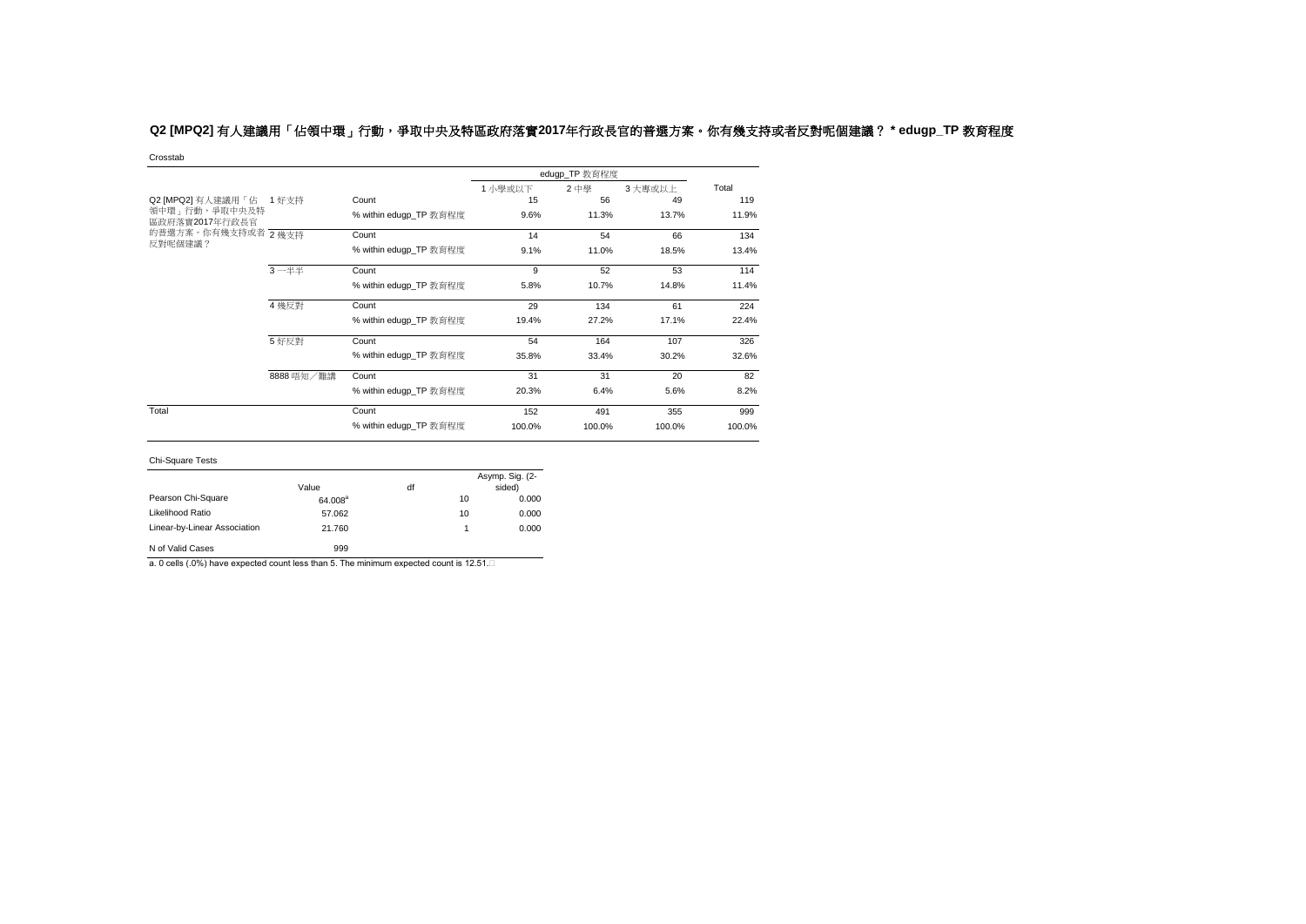# **Q2 [MPQ2]** 有人建議用「佔領中環」行動,爭取中央及特區政府落實**2017**年行政長官的普選方案。你有幾支持或者反對呢個建議? **\* edugp\_TP** 教育程度

Crosstab

|                                   |            |                        |        | edugp_TP 教育程度 |        |        |
|-----------------------------------|------------|------------------------|--------|---------------|--------|--------|
|                                   |            |                        | 1小學或以下 | 2中學           | 3大專或以上 | Total  |
| Q2 [MPQ2] 有人建議用「佔                 | 1 好支持      | Count                  | 15     | 56            | 49     | 119    |
| 領中環 - 行動,爭取中央及特<br>區政府落實2017年行政長官 |            | % within edugp_TP 教育程度 | 9.6%   | 11.3%         | 13.7%  | 11.9%  |
| 的普選方案。你有幾支持或者 2幾支持                |            | Count                  | 14     | 54            | 66     | 134    |
| 反對呢個建議?                           |            | % within edugp_TP 教育程度 | 9.1%   | 11.0%         | 18.5%  | 13.4%  |
|                                   | $3 - ##$   | Count                  | 9      | 52            | 53     | 114    |
|                                   |            | % within edugp_TP 教育程度 | 5.8%   | 10.7%         | 14.8%  | 11.4%  |
|                                   | 4 幾反對      | Count                  | 29     | 134           | 61     | 224    |
|                                   |            | % within edugp_TP 教育程度 | 19.4%  | 27.2%         | 17.1%  | 22.4%  |
|                                   | 5 好反對      | Count                  | 54     | 164           | 107    | 326    |
|                                   |            | % within edugp_TP 教育程度 | 35.8%  | 33.4%         | 30.2%  | 32.6%  |
|                                   | 8888 唔知/難講 | Count                  | 31     | 31            | 20     | 82     |
|                                   |            | % within edugp_TP 教育程度 | 20.3%  | 6.4%          | 5.6%   | 8.2%   |
| Total                             |            | Count                  | 152    | 491           | 355    | 999    |
|                                   |            | % within edugp_TP 教育程度 | 100.0% | 100.0%        | 100.0% | 100.0% |

#### Chi-Square Tests

| <b>UIT UYUULU TUULU</b>      |                     |    |    |                           |
|------------------------------|---------------------|----|----|---------------------------|
|                              | Value               | df |    | Asymp. Sig. (2-<br>sided) |
| Pearson Chi-Square           | 64.008 <sup>a</sup> |    | 10 | 0.000                     |
| Likelihood Ratio             | 57.062              |    | 10 | 0.000                     |
| Linear-by-Linear Association | 21.760              |    | 1  | 0.000                     |
| N of Valid Cases             | 999                 |    |    |                           |

a. 0 cells (.0%) have expected count less than 5. The minimum expected count is 12.51.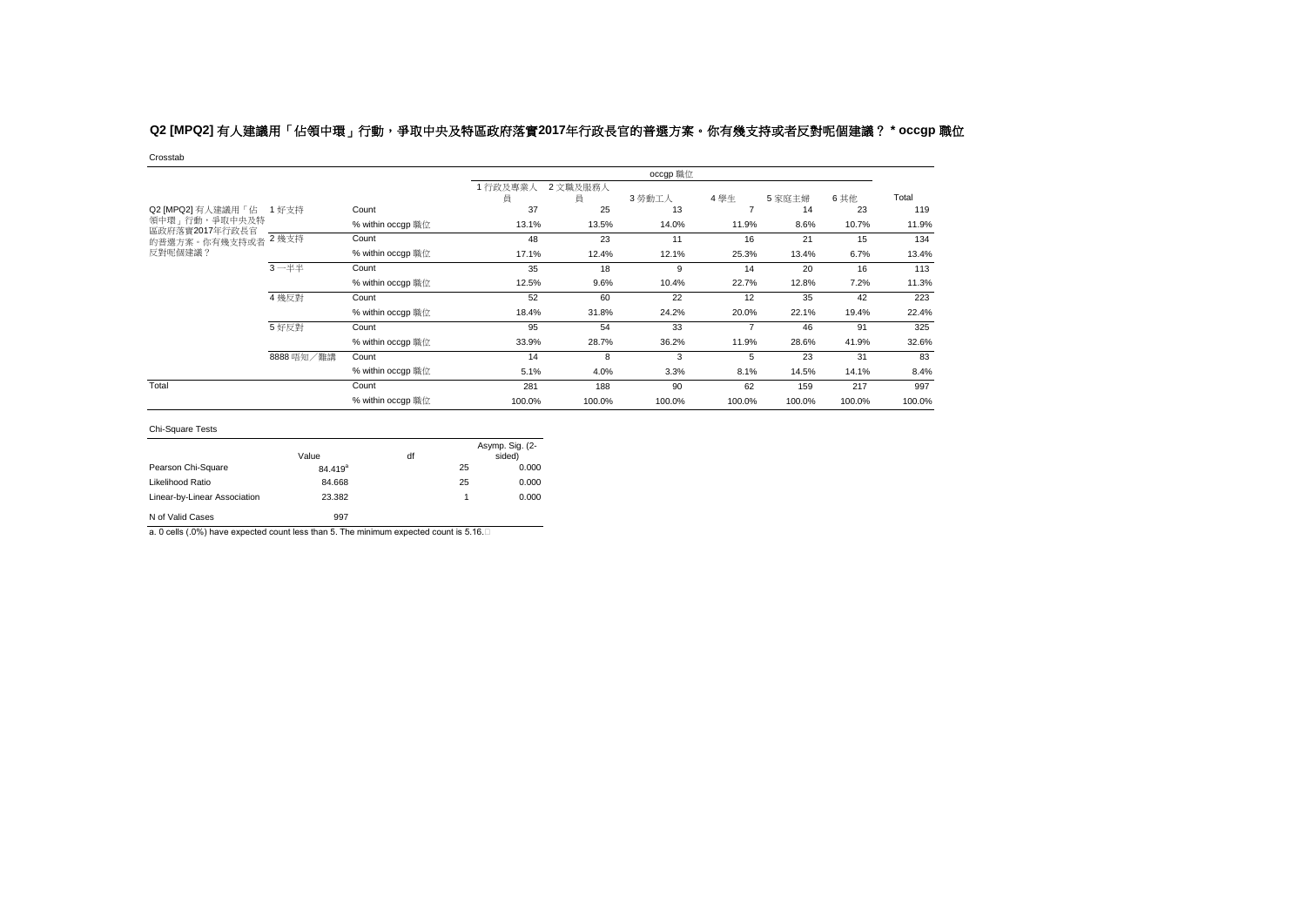# **Q2 [MPQ2]** 有人建議用「佔領中環」行動,爭取中央及特區政府落實**2017**年行政長官的普選方案。你有幾支持或者反對呢個建議? **\* occgp** 職位

Crosstab

|                                  |            |                   |              |               | occgp 職位 |                |        |        |        |
|----------------------------------|------------|-------------------|--------------|---------------|----------|----------------|--------|--------|--------|
|                                  |            |                   | 1行政及專業人<br>員 | 2 文職及服務人<br>員 | 3 勞動工人   | 4學生            | 5家庭主婦  | 6 其他   | Total  |
| Q2 [MPQ2] 有人建議用「佔                | 1 好支持      | Count             | 37           | 25            | 13       |                | 14     | 23     | 119    |
| 領中環 不動, 爭取中央及特<br>區政府落實2017年行政長官 |            | % within occgp 職位 | 13.1%        | 13.5%         | 14.0%    | 11.9%          | 8.6%   | 10.7%  | 11.9%  |
| 的普選方案。你有幾支持或者                    | 2 幾支持      | Count             | 48           | 23            | 11       | 16             | 21     | 15     | 134    |
| 反對呢個建議?                          |            | % within occqp 職位 | 17.1%        | 12.4%         | 12.1%    | 25.3%          | 13.4%  | 6.7%   | 13.4%  |
|                                  | $3 - ##$   | Count             | 35           | 18            | 9        | 14             | 20     | 16     | 113    |
|                                  |            | % within occqp 職位 | 12.5%        | 9.6%          | 10.4%    | 22.7%          | 12.8%  | 7.2%   | 11.3%  |
|                                  | 4 幾反對      | Count             | 52           | 60            | 22       | 12             | 35     | 42     | 223    |
|                                  |            | % within occqp 職位 | 18.4%        | 31.8%         | 24.2%    | 20.0%          | 22.1%  | 19.4%  | 22.4%  |
|                                  | 5 好反對      | Count             | 95           | 54            | 33       | $\overline{7}$ | 46     | 91     | 325    |
|                                  |            | % within occgp 職位 | 33.9%        | 28.7%         | 36.2%    | 11.9%          | 28.6%  | 41.9%  | 32.6%  |
|                                  | 8888 唔知/難講 | Count             | 14           | 8             | 3        | 5              | 23     | 31     | 83     |
|                                  |            | % within occqp 職位 | 5.1%         | 4.0%          | 3.3%     | 8.1%           | 14.5%  | 14.1%  | 8.4%   |
| Total                            |            | Count             | 281          | 188           | 90       | 62             | 159    | 217    | 997    |
|                                  |            | % within occqp 職位 | 100.0%       | 100.0%        | 100.0%   | 100.0%         | 100.0% | 100.0% | 100.0% |

### Chi-Square Tests

|                              | Value               | df |    | Asymp. Sig. (2-<br>sided) |
|------------------------------|---------------------|----|----|---------------------------|
| Pearson Chi-Square           | 84.419 <sup>a</sup> |    | 25 | 0.000                     |
| Likelihood Ratio             | 84.668              |    | 25 | 0.000                     |
| Linear-by-Linear Association | 23.382              |    | 1  | 0.000                     |
| N of Valid Cases             | 997                 |    |    |                           |

a. 0 cells (.0%) have expected count less than 5. The minimum expected count is 5.16.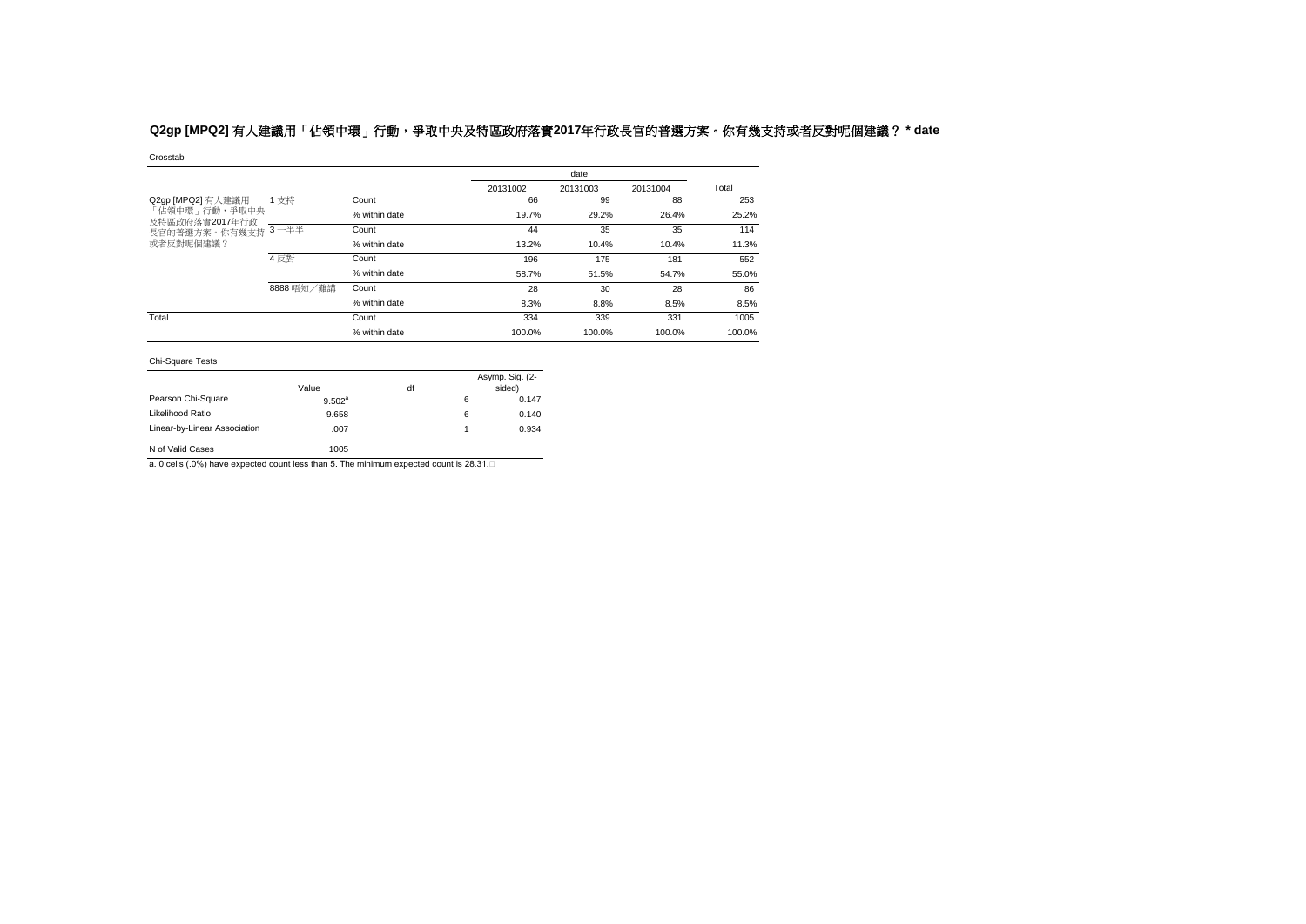# Q2gp [MPQ2] 有人建議用「佔領中環」行動,爭取中央及特區政府落實2017年行政長官的普選方案。你有幾支持或者反對呢個建議? \* date

#### Crosstab

|                                    |            |               |          | date     |          |        |
|------------------------------------|------------|---------------|----------|----------|----------|--------|
|                                    |            |               | 20131002 | 20131003 | 20131004 | Total  |
| Q2gp [MPQ2] 有人建議用<br>「佔領中環」行動,爭取中央 | 1 支持       | Count         | 66       | 99       | 88       | 253    |
|                                    |            | % within date | 19.7%    | 29.2%    | 26.4%    | 25.2%  |
| 及特區政府落實2017年行政<br>長官的普選方案。你有幾支持    | $3 - ##$   | Count         | 44       | 35       | 35       | 114    |
| 或者反對呢個建議?                          |            | % within date | 13.2%    | 10.4%    | 10.4%    | 11.3%  |
|                                    | 4 反對       | Count         | 196      | 175      | 181      | 552    |
|                                    |            | % within date | 58.7%    | 51.5%    | 54.7%    | 55.0%  |
|                                    | 8888 唔知/難講 | Count         | 28       | 30       | 28       | 86     |
|                                    |            | % within date | 8.3%     | 8.8%     | 8.5%     | 8.5%   |
| Total                              |            | Count         | 334      | 339      | 331      | 1005   |
|                                    |            | % within date | 100.0%   | 100.0%   | 100.0%   | 100.0% |

#### Chi-Square Tests

|                              | Value     | df |   | Asymp. Sig. (2-<br>sided) |
|------------------------------|-----------|----|---|---------------------------|
| Pearson Chi-Square           | $9.502^a$ |    | 6 | 0.147                     |
| Likelihood Ratio             | 9.658     |    | 6 | 0.140                     |
| Linear-by-Linear Association | .007      |    |   | 0.934                     |
| N of Valid Cases             | 1005      |    |   |                           |

a. 0 cells (.0%) have expected count less than 5. The minimum expected count is 28.31.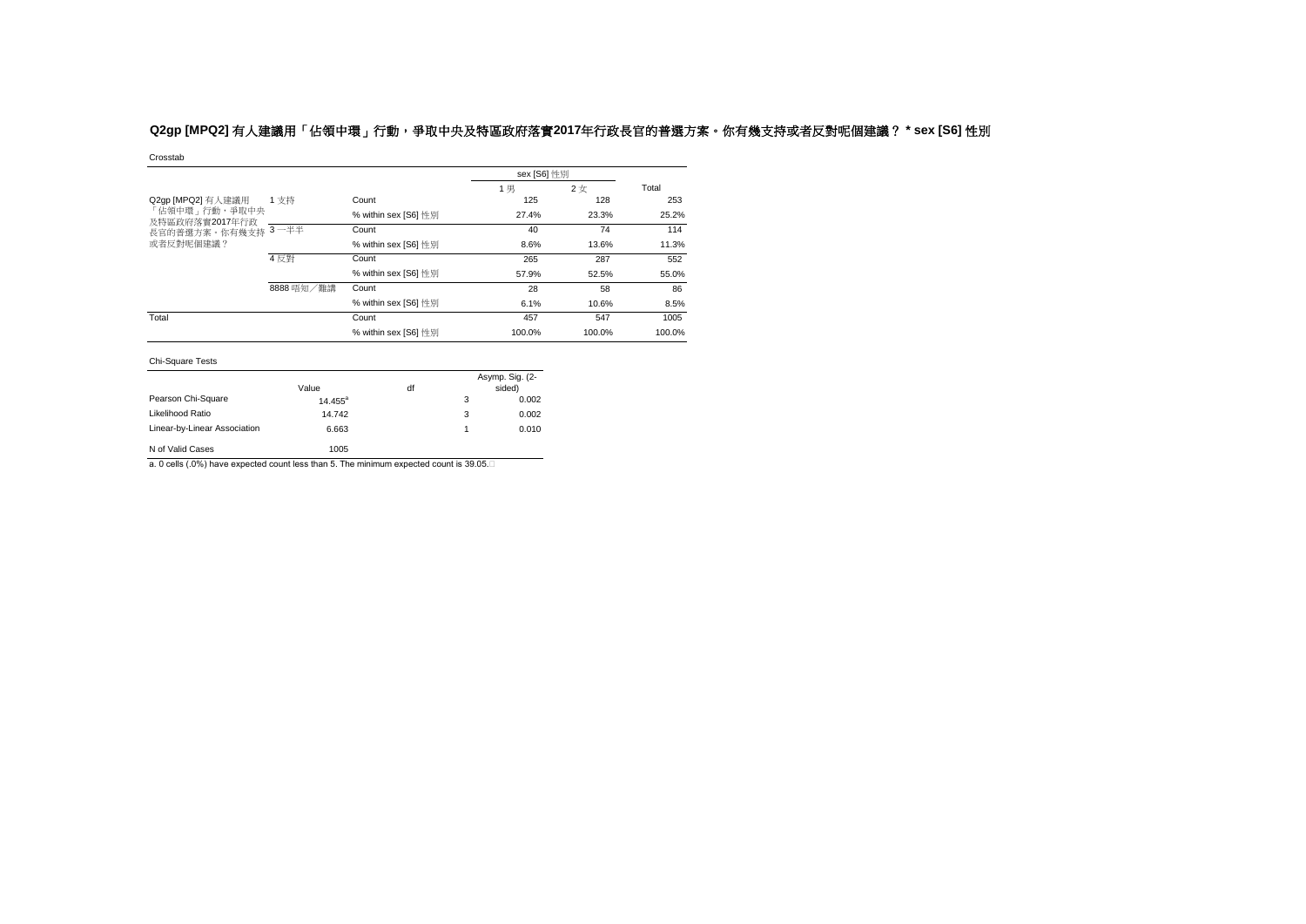# **Q2gp [MPQ2]** 有人建議用「佔領中環」行動,爭取中央及特區政府落實**2017**年行政長官的普選方案。你有幾支持或者反對呢個建議? **\* sex [S6]** 性別

Crosstab

|                                                  |            |                      | sex [S6] 性別 |        |        |
|--------------------------------------------------|------------|----------------------|-------------|--------|--------|
|                                                  |            |                      | 1 男         | 2女     | Total  |
| Q2gp [MPQ2] 有人建議用                                | 1 支持       | Count                | 125         | 128    | 253    |
| 「佔領中環」行動,爭取中央<br>及特區政府落實2017年行政<br>長官的普選方案。你有幾支持 |            | % within sex [S6] 性別 | 27.4%       | 23.3%  | 25.2%  |
|                                                  | $3 - ##$   | Count                | 40          | 74     | 114    |
| 或者反對呢個建議?                                        |            | % within sex [S6] 性別 | 8.6%        | 13.6%  | 11.3%  |
|                                                  | 4 反對       | Count                | 265         | 287    | 552    |
|                                                  |            | % within sex [S6] 性別 | 57.9%       | 52.5%  | 55.0%  |
|                                                  | 8888 唔知/難講 | Count                | 28          | 58     | 86     |
|                                                  |            | % within sex [S6] 性別 | 6.1%        | 10.6%  | 8.5%   |
| Total                                            |            | Count                | 457         | 547    | 1005   |
|                                                  |            | % within sex [S6] 性別 | 100.0%      | 100.0% | 100.0% |

#### Chi-Square Tests

|                              | Value      | df |   | Asymp. Sig. (2-<br>sided) |
|------------------------------|------------|----|---|---------------------------|
| Pearson Chi-Square           | $14.455^a$ |    | 3 | 0.002                     |
| Likelihood Ratio             | 14.742     |    | 3 | 0.002                     |
| Linear-by-Linear Association | 6.663      |    | 1 | 0.010                     |
| N of Valid Cases             | 1005       |    |   |                           |

a. 0 cells (.0%) have expected count less than 5. The minimum expected count is 39.05.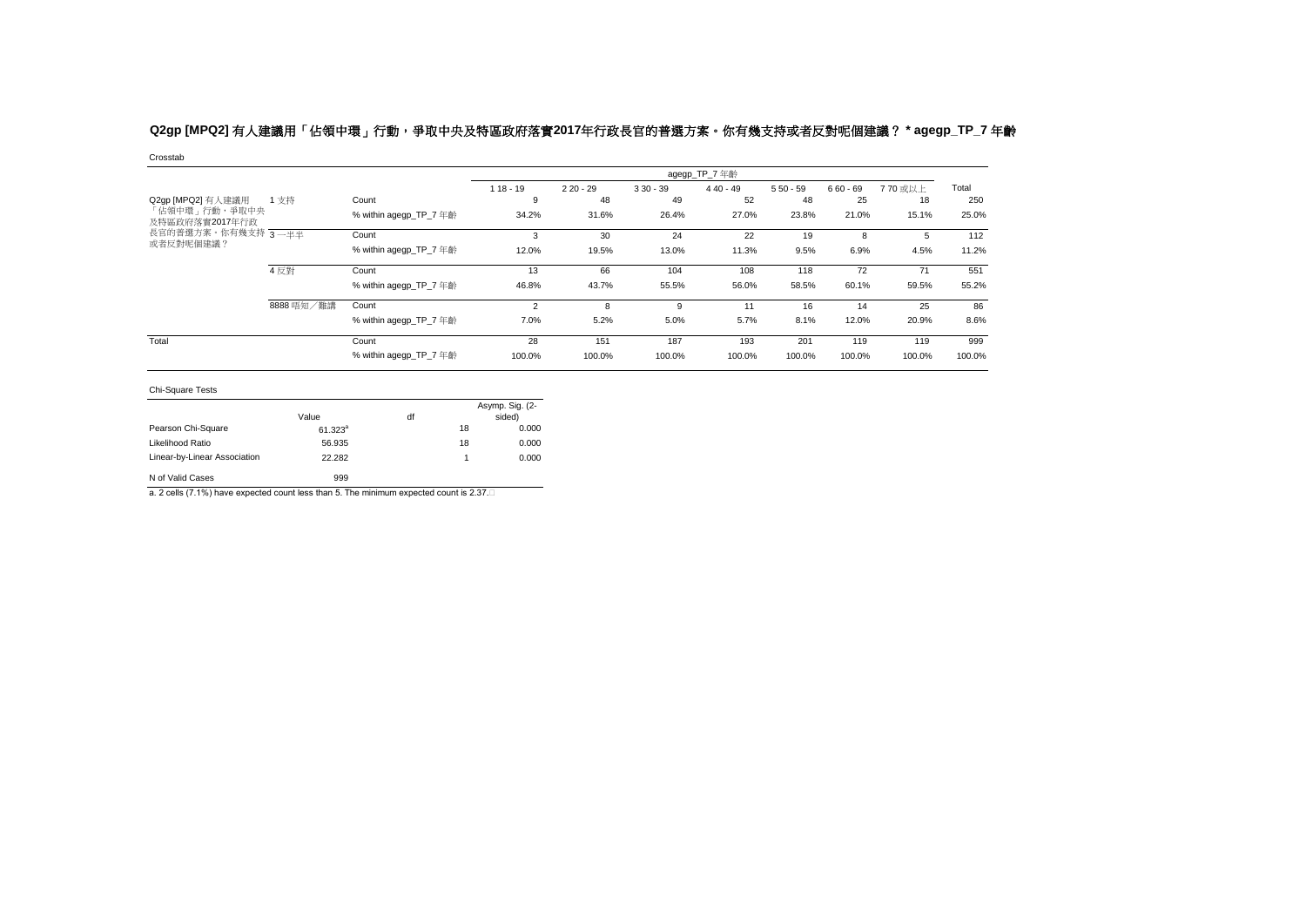# **Q2gp [MPQ2]** 有人建議用「佔領中環」行動,爭取中央及特區政府落實**2017**年行政長官的普選方案。你有幾支持或者反對呢個建議? **\* agegp\_TP\_7** 年齡

Crosstab

|                                 |            |                        |                |            |            | agegp_TP_7 年齡 |            |            |         |        |
|---------------------------------|------------|------------------------|----------------|------------|------------|---------------|------------|------------|---------|--------|
|                                 |            |                        | $118 - 19$     | $220 - 29$ | $330 - 39$ | $440 - 49$    | $550 - 59$ | $660 - 69$ | 770 或以上 | Total  |
| Q2gp [MPQ2] 有人建議用               | 1支持        | Count                  | 9              | 48         | 49         | 52            | 48         | 25         | 18      | 250    |
| 「佔領中環」行動,爭取中央<br>及特區政府落實2017年行政 |            | % within agegp TP 7 年齡 | 34.2%          | 31.6%      | 26.4%      | 27.0%         | 23.8%      | 21.0%      | 15.1%   | 25.0%  |
| 長官的普選方案。你有幾支持 3 一半半             |            | Count                  | 3              | 30         | 24         | 22            | 19         | 8          |         | 112    |
| 或者反對呢個建議?                       |            | % within agegp TP 7 年齡 | 12.0%          | 19.5%      | 13.0%      | 11.3%         | 9.5%       | 6.9%       | 4.5%    | 11.2%  |
|                                 | 4反對        | Count                  | 13             | 66         | 104        | 108           | 118        | 72         |         | 551    |
|                                 |            | % within agegp TP 7 年齡 | 46.8%          | 43.7%      | 55.5%      | 56.0%         | 58.5%      | 60.1%      | 59.5%   | 55.2%  |
|                                 | 8888 唔知/難講 | Count                  | $\overline{2}$ | 8          | 9          | 11            | 16         | 14         | 25      | 86     |
|                                 |            | % within agegp TP 7 年齡 | 7.0%           | 5.2%       | 5.0%       | 5.7%          | 8.1%       | 12.0%      | 20.9%   | 8.6%   |
| Total                           |            | Count                  | 28             | 151        | 187        | 193           | 201        | 119        | 119     | 999    |
|                                 |            | % within agegp_TP_7 年齡 | 100.0%         | 100.0%     | 100.0%     | 100.0%        | 100.0%     | 100.0%     | 100.0%  | 100.0% |

Chi-Square Tests

|                              | Value        | df |    | Asymp. Sig. (2-<br>sided) |
|------------------------------|--------------|----|----|---------------------------|
| Pearson Chi-Square           | $61.323^{a}$ |    | 18 | 0.000                     |
| Likelihood Ratio             | 56.935       |    | 18 | 0.000                     |
| Linear-by-Linear Association | 22.282       |    | 1  | 0.000                     |
| N of Valid Cases             | 999          |    |    |                           |

a. 2 cells (7.1%) have expected count less than 5. The minimum expected count is 2.37.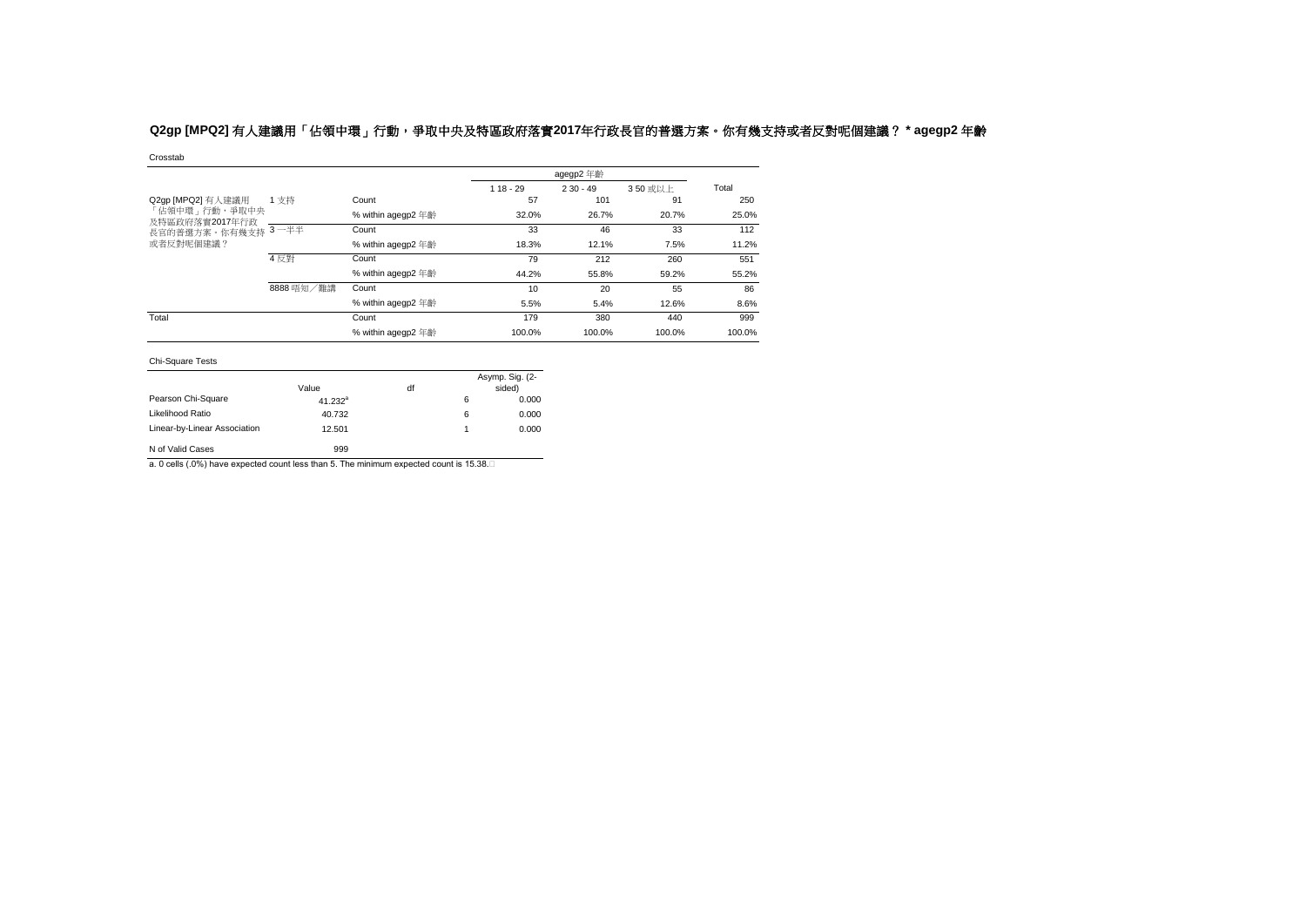# **Q2gp [MPQ2]** 有人建議用「佔領中環」行動,爭取中央及特區政府落實**2017**年行政長官的普選方案。你有幾支持或者反對呢個建議? **\* agegp2** 年齡

Crosstab

|                                 |            |                    |            | agegp2 年齡  |         |        |
|---------------------------------|------------|--------------------|------------|------------|---------|--------|
|                                 |            |                    | $118 - 29$ | $230 - 49$ | 350 或以上 | Total  |
| Q2gp [MPQ2] 有人建議用               | 1 支持       | Count              | 57         | 101        | 91      | 250    |
| 「佔領中環」行動,爭取中央<br>及特區政府落實2017年行政 |            | % within agegp2 年齡 | 32.0%      | 26.7%      | 20.7%   | 25.0%  |
| 長官的普選方案。你有幾支持                   | $3 - ##$   | Count              | 33         | 46         | 33      | 112    |
| 或者反對呢個建議?                       |            | % within agegp2 年齡 | 18.3%      | 12.1%      | 7.5%    | 11.2%  |
|                                 | 4 反對       | Count              | 79         | 212        | 260     | 551    |
|                                 |            | % within agegp2 年齡 | 44.2%      | 55.8%      | 59.2%   | 55.2%  |
|                                 | 8888 唔知/難講 | Count              | 10         | 20         | 55      | 86     |
|                                 |            | % within agegp2 年齡 | 5.5%       | 5.4%       | 12.6%   | 8.6%   |
| Total                           |            | Count              | 179        | 380        | 440     | 999    |
|                                 |            | % within agegp2 年齡 | 100.0%     | 100.0%     | 100.0%  | 100.0% |

#### Chi-Square Tests

|                              | Value      | df |   | Asymp. Sig. (2-<br>sided) |
|------------------------------|------------|----|---|---------------------------|
| Pearson Chi-Square           | $41.232^a$ |    | 6 | 0.000                     |
| Likelihood Ratio             | 40.732     |    | 6 | 0.000                     |
| Linear-by-Linear Association | 12.501     |    | 1 | 0.000                     |
| N of Valid Cases             | 999        |    |   |                           |

a. 0 cells (.0%) have expected count less than 5. The minimum expected count is 15.38.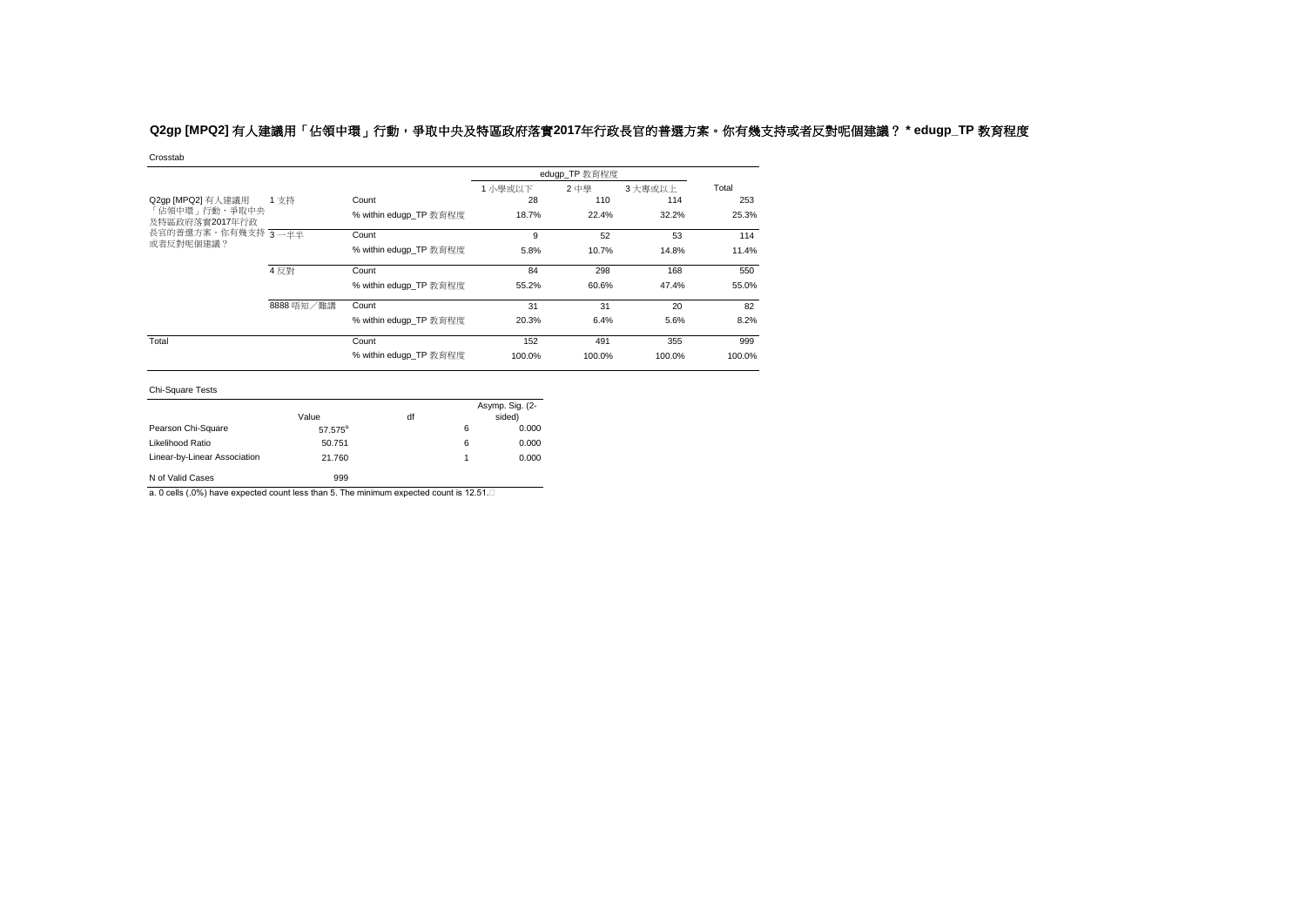# **Q2gp [MPQ2]** 有人建議用「佔領中環」行動,爭取中央及特區政府落實**2017**年行政長官的普選方案。你有幾支持或者反對呢個建議? **\* edugp\_TP** 教育程度

Crosstab

|                                  |            |                        |         | edugp_TP 教育程度 |        |        |
|----------------------------------|------------|------------------------|---------|---------------|--------|--------|
|                                  |            |                        | 1 小學或以下 | 2 中學          | 3大專或以上 | Total  |
| Q2gp [MPQ2] 有人建議用                | 1支持        | Count                  | 28      | 110           | 114    | 253    |
| 「佔領中環」行動,爭取中央<br>及特區政府落實2017年行政  |            | % within edugp TP 教育程度 | 18.7%   | 22.4%         | 32.2%  | 25.3%  |
| 長官的普選方案。你有幾支持 3 一半半<br>或者反對呢個建議? |            | Count                  | 9       | 52            | 53     | 114    |
|                                  |            | % within eduap TP 教育程度 | 5.8%    | 10.7%         | 14.8%  | 11.4%  |
|                                  | 4反對        | Count                  | 84      | 298           | 168    | 550    |
|                                  |            | % within edugp_TP 教育程度 | 55.2%   | 60.6%         | 47.4%  | 55.0%  |
|                                  | 8888 唔知/難講 | Count                  | 31      | 31            | 20     | 82     |
|                                  |            | % within edugp TP 教育程度 | 20.3%   | 6.4%          | 5.6%   | 8.2%   |
| Total                            |            | Count                  | 152     | 491           | 355    | 999    |
|                                  |            | % within edugp_TP 教育程度 | 100.0%  | 100.0%        | 100.0% | 100.0% |

Chi-Square Tests

|                              | Value               | df |   | Asymp. Sig. (2-<br>sided) |
|------------------------------|---------------------|----|---|---------------------------|
| Pearson Chi-Square           | 57.575 <sup>a</sup> |    | 6 | 0.000                     |
| Likelihood Ratio             | 50.751              |    | 6 | 0.000                     |
| Linear-by-Linear Association | 21.760              |    | 1 | 0.000                     |
| N of Valid Cases             | 999                 |    |   |                           |

a. 0 cells (.0%) have expected count less than 5. The minimum expected count is 12.51.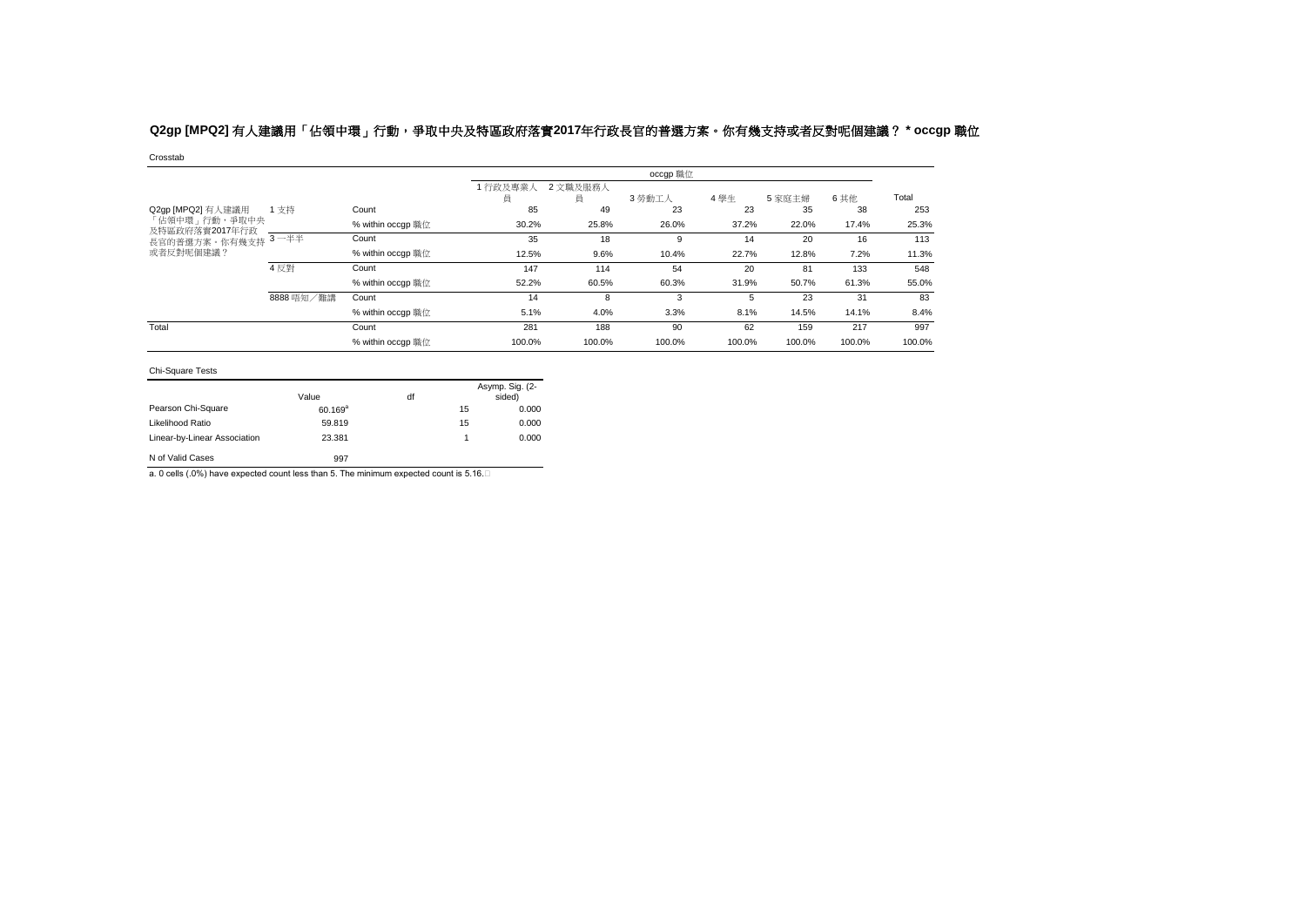# **Q2gp [MPQ2]** 有人建議用「佔領中環」行動,爭取中央及特區政府落實**2017**年行政長官的普選方案。你有幾支持或者反對呢個建議? **\* occgp** 職位

Crosstab

|                                 |            |                   |              |               | occgp 職位 |        |        |        |        |
|---------------------------------|------------|-------------------|--------------|---------------|----------|--------|--------|--------|--------|
|                                 |            |                   | 1行政及專業)<br>員 | 2 文職及服務人<br>員 | 3 勞動工人   | 4學生    | 5家庭主婦  | 6 其他   | Total  |
| Q2gp [MPQ2] 有人建議用               | 1支持        | Count             | 85           | 49            | 23       | 23     | 35     | 38     | 253    |
| 「佔領中環」行動,爭取中央<br>及特區政府落實2017年行政 |            | % within occgp 職位 | 30.2%        | 25.8%         | 26.0%    | 37.2%  | 22.0%  | 17.4%  | 25.3%  |
| 長官的普選方案。你有幾支持                   | $3 - ##$   | Count             | 35           | 18            | 9        | 14     | 20     | 16     | 113    |
| 或者反對呢個建議?                       |            | % within occgp 職位 | 12.5%        | 9.6%          | 10.4%    | 22.7%  | 12.8%  | 7.2%   | 11.3%  |
|                                 | 4 反對       | Count             | 147          | 114           | 54       | 20     | 81     | 133    | 548    |
|                                 |            | % within occqp 職位 | 52.2%        | 60.5%         | 60.3%    | 31.9%  | 50.7%  | 61.3%  | 55.0%  |
|                                 | 8888 唔知/難講 | Count             | 14           | 8             | 3        | 5      | 23     | 31     | 83     |
|                                 |            | % within occqp 職位 | 5.1%         | 4.0%          | 3.3%     | 8.1%   | 14.5%  | 14.1%  | 8.4%   |
| Total                           |            | Count             | 281          | 188           | 90       | 62     | 159    | 217    | 997    |
|                                 |            | % within occgp 職位 | 100.0%       | 100.0%        | 100.0%   | 100.0% | 100.0% | 100.0% | 100.0% |

### Chi-Square Tests

|                              | Value               | df |    | Asymp. Sig. (2-<br>sided) |
|------------------------------|---------------------|----|----|---------------------------|
| Pearson Chi-Square           | 60.169 <sup>a</sup> |    | 15 | 0.000                     |
| Likelihood Ratio             | 59.819              |    | 15 | 0.000                     |
| Linear-by-Linear Association | 23.381              |    |    | 0.000                     |
| N of Valid Cases             | 997                 |    |    |                           |

a. 0 cells (.0%) have expected count less than 5. The minimum expected count is 5.16.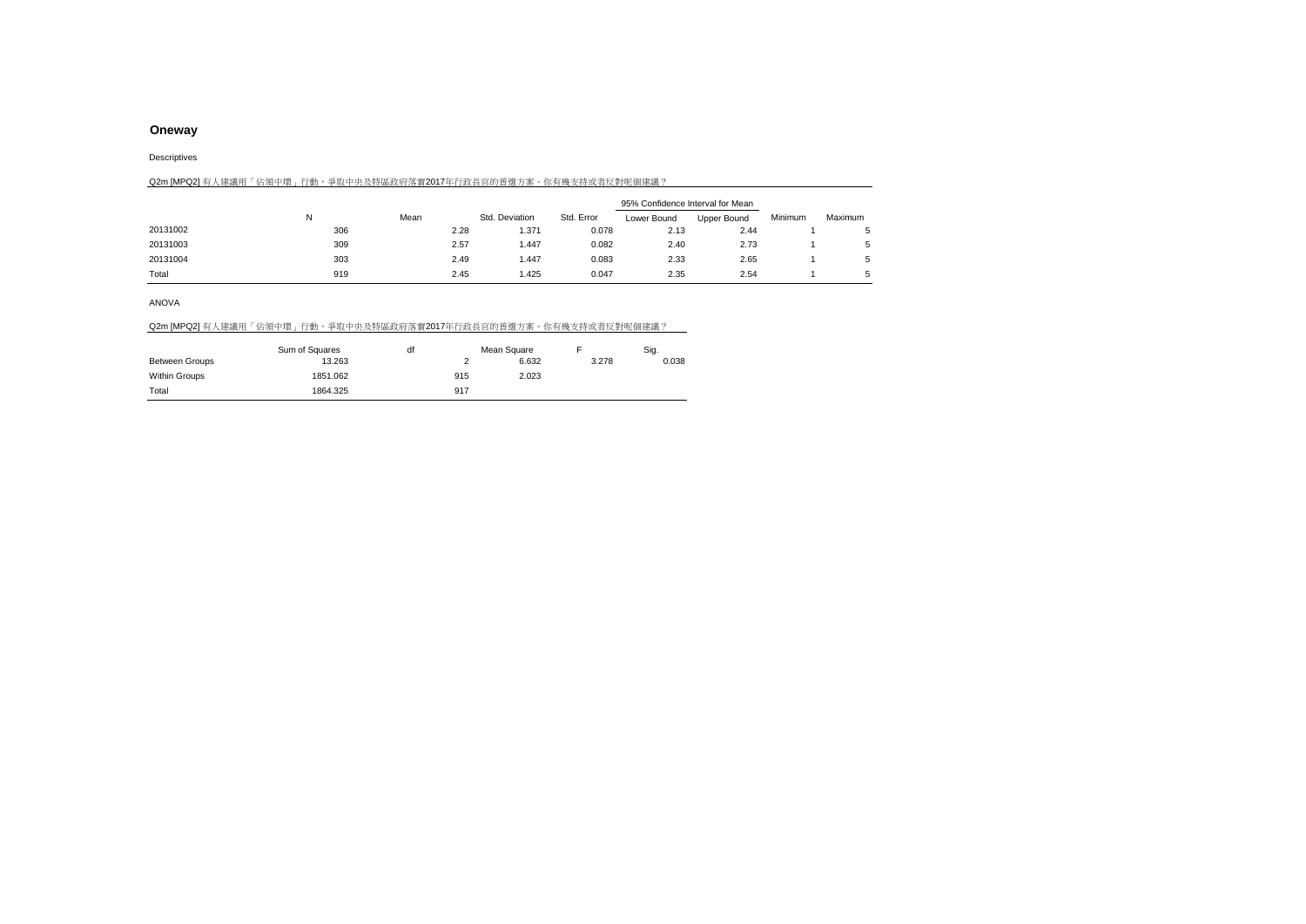Descriptives

|          | Q2m [MPQ2] 有人建議用「佔領中環」行動,爭取中央及特區政府落實2017年行政長官的普選方案。你有幾支特或者反對呢個建議? |      |                |            |                                  |             |         |         |
|----------|-------------------------------------------------------------------|------|----------------|------------|----------------------------------|-------------|---------|---------|
|          |                                                                   |      |                |            | 95% Confidence Interval for Mean |             |         |         |
|          | N                                                                 | Mean | Std. Deviation | Std. Error | Lower Bound                      | Upper Bound | Minimum | Maximum |
| 20131002 | 306                                                               | 2.28 | 1.371          | 0.078      | 2.13                             | 2.44        |         |         |
| 20131003 | 309                                                               | 2.57 | 1.447          | 0.082      | 2.40                             | 2.73        |         | 5       |
| 20131004 | 303                                                               | 2.49 | 1.447          | 0.083      | 2.33                             | 2.65        |         | 5       |
| Total    | 919                                                               | 2.45 | 1.425          | 0.047      | 2.35                             | 2.54        |         | 5       |

ANOVA

|  |  |  |  | Q2m [MPQ2] 有人建議用「佔領中環」行動,爭取中央及特區政府落實2017年行政長官的普選方案。你有幾支持或者反對呢個建議? |  |
|--|--|--|--|-------------------------------------------------------------------|--|
|  |  |  |  |                                                                   |  |

|                       | Sum of Squares | df<br>Mean Square |     |       |       | Sig.  |
|-----------------------|----------------|-------------------|-----|-------|-------|-------|
| <b>Between Groups</b> | 13.263         |                   |     | 6.632 | 3.278 | 0.038 |
| Within Groups         | 1851.062       |                   | 915 | 2.023 |       |       |
| Total                 | 1864.325       |                   | 917 |       |       |       |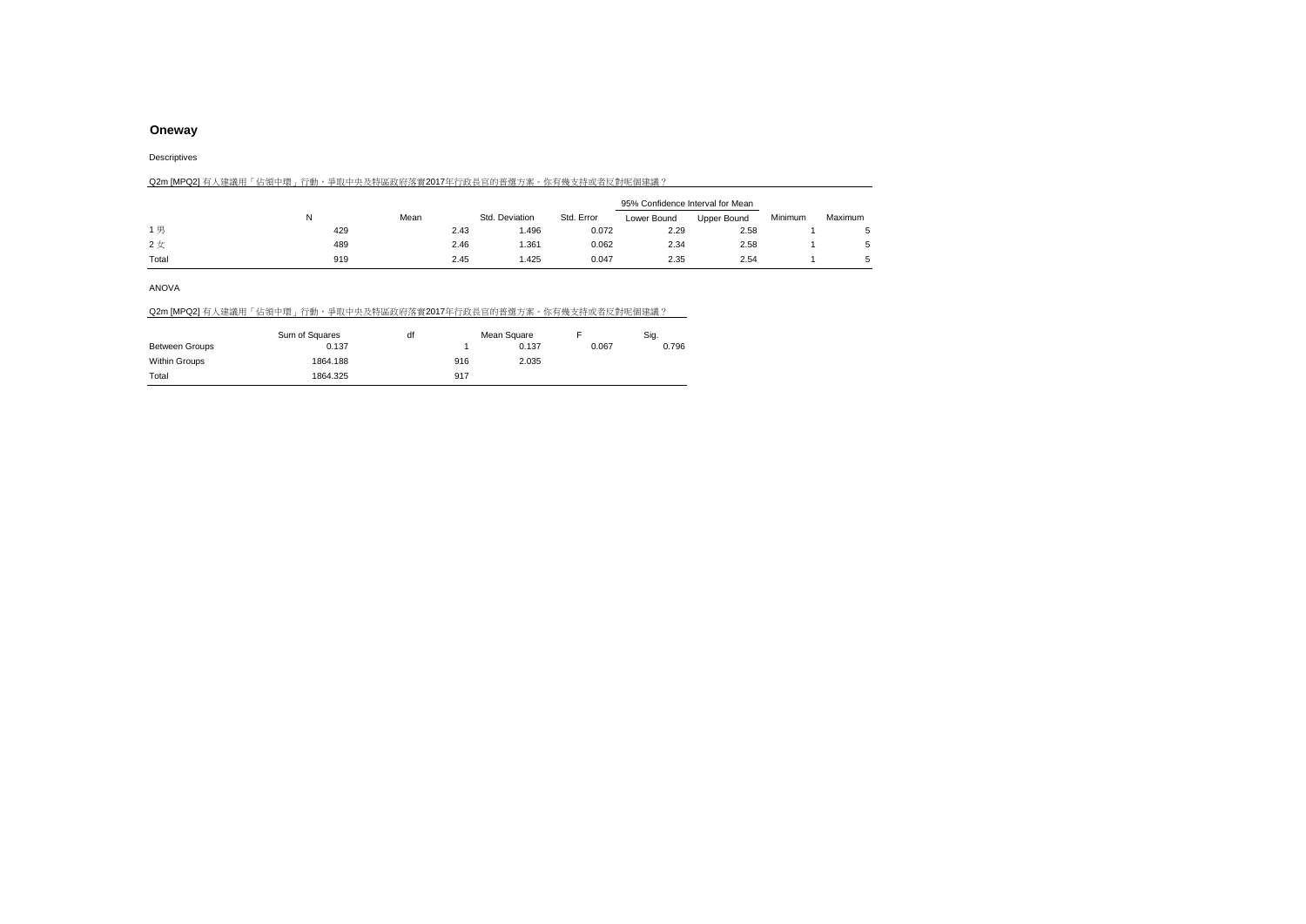Descriptives

|       | Q2m [MPQ2] 有人建議用「佔領中環」行動,爭取中央及特區政府落實2017年行政長官的普選方案。你有幾支持或者反對呢個建議? |      |                |            |                                  |             |         |         |
|-------|-------------------------------------------------------------------|------|----------------|------------|----------------------------------|-------------|---------|---------|
|       |                                                                   |      |                |            | 95% Confidence Interval for Mean |             |         |         |
|       |                                                                   | Mean | Std. Deviation | Std. Error | Lower Bound                      | Upper Bound | Minimum | Maximum |
| 1男    | 429                                                               | 2.43 | 1.496          | 0.072      | 2.29                             | 2.58        |         |         |
| 2女    | 489                                                               | 2.46 | 1.361          | 0.062      | 2.34                             | 2.58        |         |         |
| Total | 919                                                               | 2.45 | 1.425          | 0.047      | 2.35                             | 2.54        |         |         |

ANOVA

### Q2m [MPQ2] 有人建議用「佔領中環」行動,爭取中央及特區政府落實2017年行政長官的普選方案。你有幾支持或者反對呢個建議?

|                       | Sum of Squares | df | Mean Square |       |       | Sig.  |
|-----------------------|----------------|----|-------------|-------|-------|-------|
| <b>Between Groups</b> | 0.137          |    |             | 0.137 | 0.067 | 0.796 |
| Within Groups         | 1864.188       |    | 916         | 2.035 |       |       |
| Total                 | 1864.325       |    | 917         |       |       |       |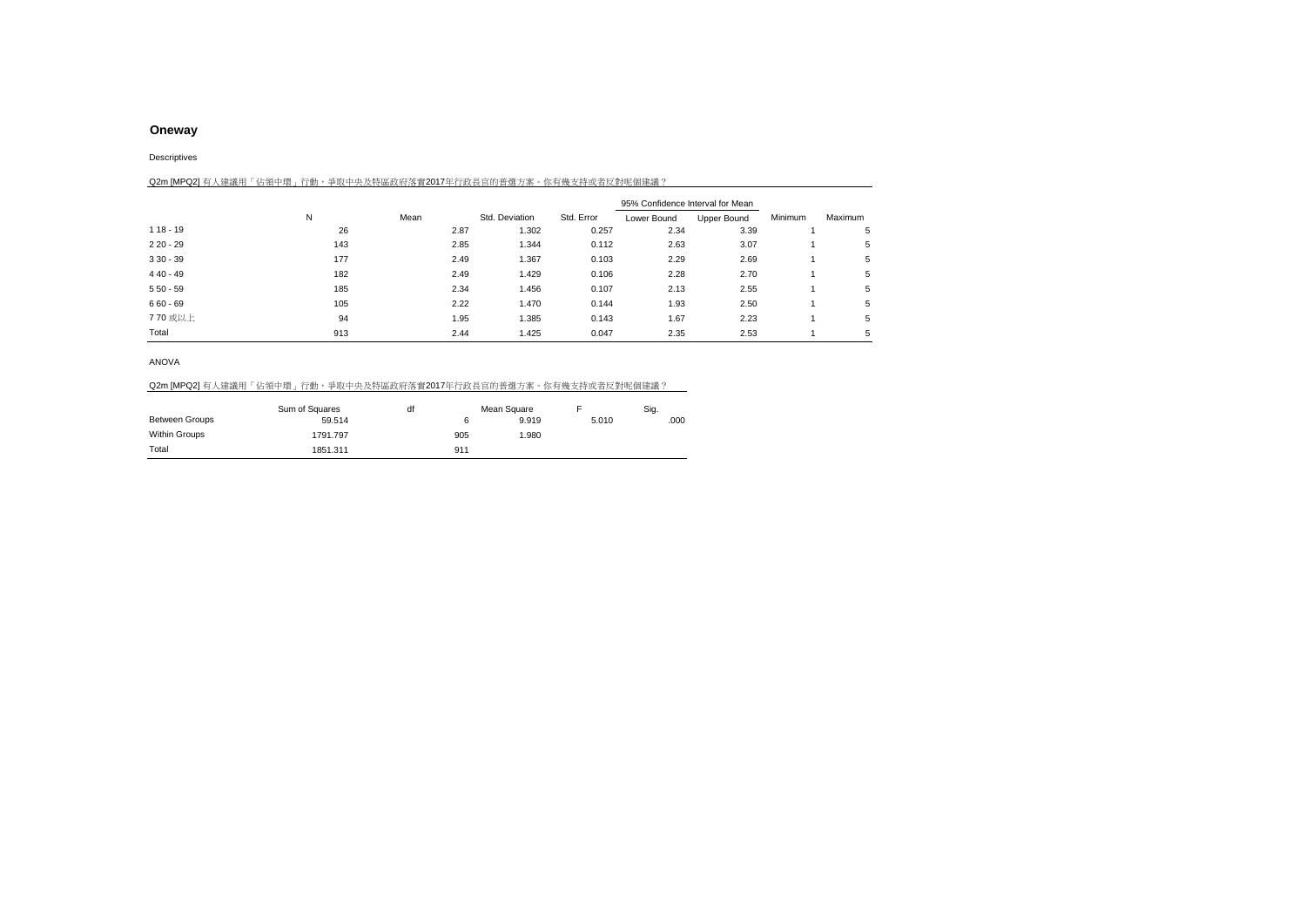Descriptives

| Q2m [MPQ2] 有人建議用「佔領中環」行動,爭取中央及特區政府落實2017年行政長官的普選方案。你有幾支持或者反對呢個建議? |     |      |      |                |            |                                  |             |         |         |
|-------------------------------------------------------------------|-----|------|------|----------------|------------|----------------------------------|-------------|---------|---------|
|                                                                   |     |      |      |                |            | 95% Confidence Interval for Mean |             |         |         |
|                                                                   | N   | Mean |      | Std. Deviation | Std. Error | Lower Bound                      | Upper Bound | Minimum | Maximum |
| $118 - 19$                                                        | 26  |      | 2.87 | 1.302          | 0.257      | 2.34                             | 3.39        |         | 5       |
| $220 - 29$                                                        | 143 |      | 2.85 | 1.344          | 0.112      | 2.63                             | 3.07        |         | 5       |
| $330 - 39$                                                        | 177 |      | 2.49 | 1.367          | 0.103      | 2.29                             | 2.69        |         | 5       |
| $440 - 49$                                                        | 182 |      | 2.49 | 1.429          | 0.106      | 2.28                             | 2.70        |         | 5       |
| $550 - 59$                                                        | 185 |      | 2.34 | 1.456          | 0.107      | 2.13                             | 2.55        |         | 5       |
| $660 - 69$                                                        | 105 |      | 2.22 | 1.470          | 0.144      | 1.93                             | 2.50        |         | 5       |
| 770 或以上                                                           | 94  |      | 1.95 | 1.385          | 0.143      | 1.67                             | 2.23        |         | 5       |
| Total                                                             | 913 |      | 2.44 | 1.425          | 0.047      | 2.35                             | 2.53        |         | 5       |

ANOVA

### Q2m [MPQ2] 有人建議用「佔領中環」行動,爭取中央及特區政府落實2017年行政長官的普選方案。你有幾支持或者反對呢個建議?

|                       | Sum of Squares | df |     | Mean Square |       | Sig. |
|-----------------------|----------------|----|-----|-------------|-------|------|
| <b>Between Groups</b> | 59.514         |    |     | 9.919       | 5.010 | .000 |
| Within Groups         | 1791.797       |    | 905 | 1.980       |       |      |
| Total                 | 1851.311       |    | 911 |             |       |      |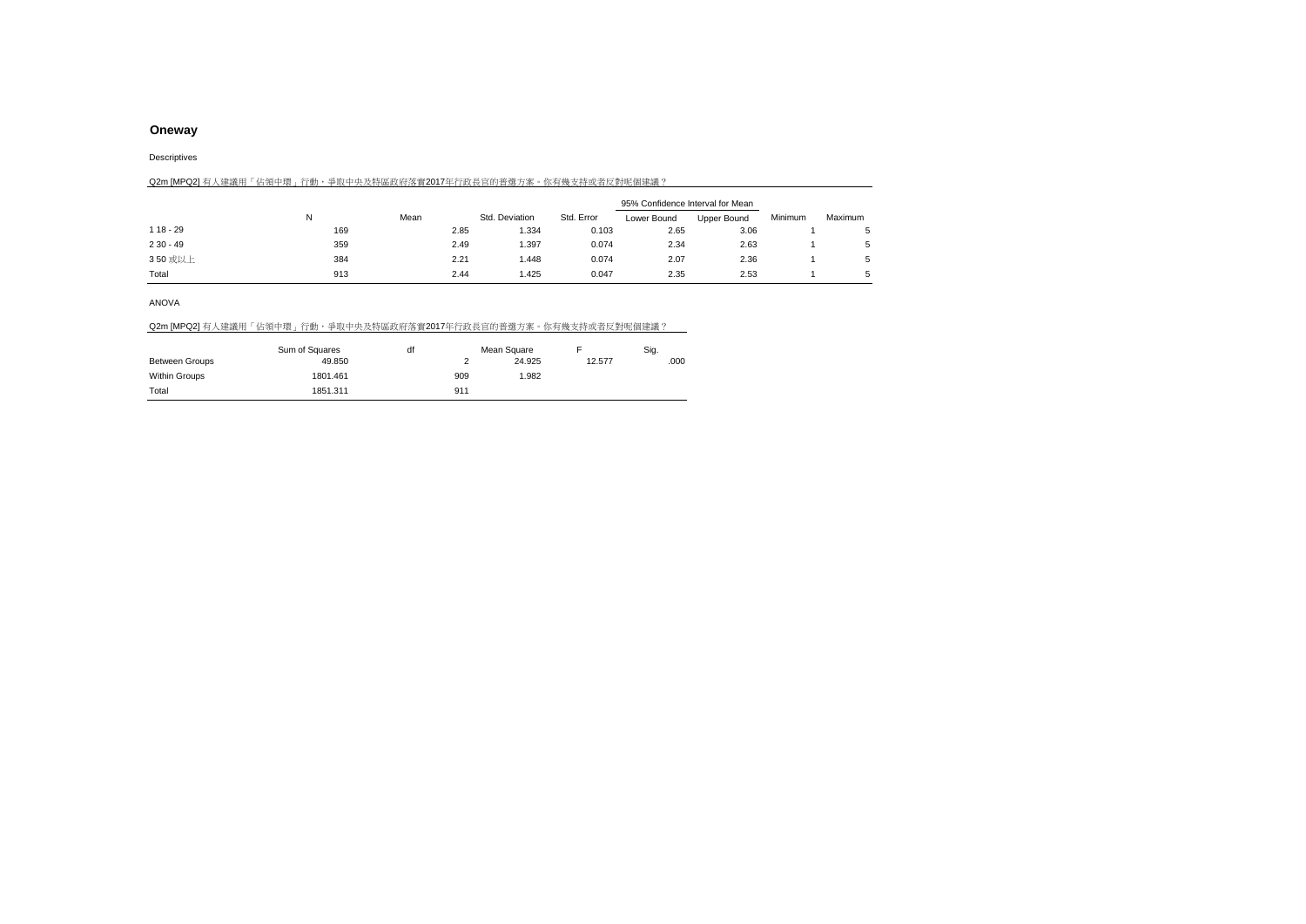#### Descriptives

|            | Q2m [MPQ2] 有人建議用「佔領中環」行動,爭取中央及特區政府落實2017年行政長官的普選方案。你有幾支持或者反對呢個建議? |      |      |                |            |                                  |             |         |             |
|------------|-------------------------------------------------------------------|------|------|----------------|------------|----------------------------------|-------------|---------|-------------|
|            |                                                                   |      |      |                |            | 95% Confidence Interval for Mean |             |         |             |
|            | N                                                                 | Mean |      | Std. Deviation | Std. Error | Lower Bound                      | Upper Bound | Minimum | Maximum     |
| $118 - 29$ | 169                                                               |      | 2.85 | 1.334          | 0.103      | 2.65                             | 3.06        |         | 5           |
| $230 - 49$ | 359                                                               |      | 2.49 | 1.397          | 0.074      | 2.34                             | 2.63        |         | 5           |
| 350 或以上    | 384                                                               |      | 2.21 | 1.448          | 0.074      | 2.07                             | 2.36        |         | 5           |
| Total      | 913                                                               |      | 2.44 | 1.425          | 0.047      | 2.35                             | 2.53        |         | $5^{\circ}$ |

#### ANOVA

|  |  | Q2m [MPQ2] 有人建議用「佔領中環」行動,爭取中央及特區政府落實2017年行政長官的普選方案。你有幾支持或者反對呢個建議? |
|--|--|-------------------------------------------------------------------|
|  |  |                                                                   |

|                | Sum of Squares | df |     | Mean Square |        | Sig. |
|----------------|----------------|----|-----|-------------|--------|------|
| Between Groups | 49.850         |    |     | 24.925      | 12.577 | .000 |
| Within Groups  | 1801.461       |    | 909 | 1.982       |        |      |
| Total          | 1851.311       |    | 911 |             |        |      |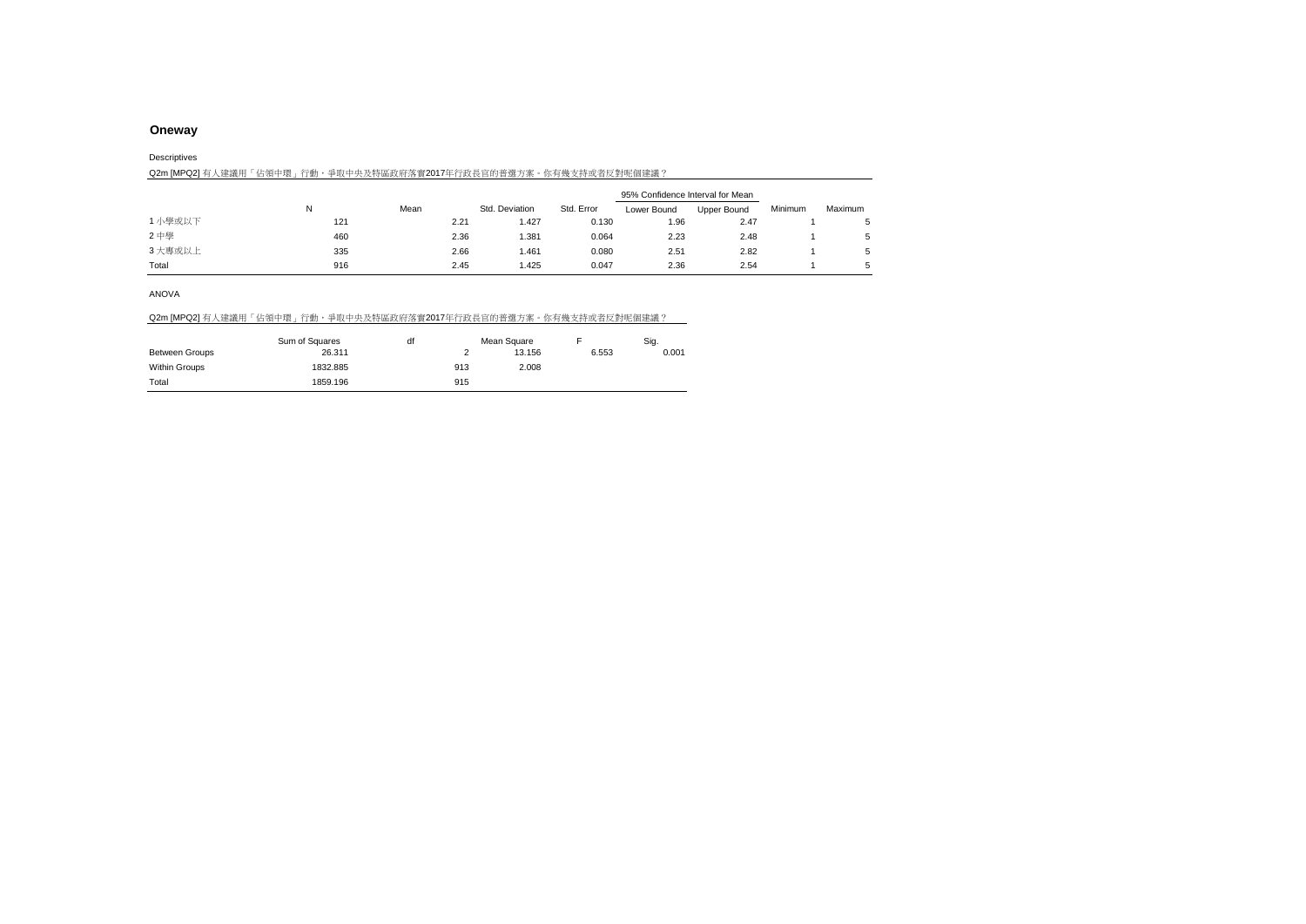#### Descriptives

| Q2m [MPQ2] 有人建議用「佔領中環」行動,爭取中央及特區政府落實2017年行政長官的普選方案。你有幾支持或者反對呢個建議? |  |
|-------------------------------------------------------------------|--|
|-------------------------------------------------------------------|--|

|         | 95% Confidence Interval for Mean |      |                |            |             |             |         |         |
|---------|----------------------------------|------|----------------|------------|-------------|-------------|---------|---------|
|         | N                                | Mean | Std. Deviation | Std. Error | Lower Bound | Upper Bound | Minimum | Maximum |
| 1 小學或以下 | 121                              | 2.21 | 1.427          | 0.130      | .96         | 2.47        |         |         |
| 2中學     | 460                              | 2.36 | 1.381          | 0.064      | 2.23        | 2.48        |         |         |
| 3 大專或以上 | 335                              | 2.66 | 1.461          | 0.080      | 2.51        | 2.82        |         |         |
| Total   | 916                              | 2.45 | 1.425          | 0.047      | 2.36        | 2.54        |         |         |

### ANOVA

### Q2m [MPQ2] 有人建議用「佔領中環」行動,爭取中央及特區政府落實2017年行政長官的普選方案。你有幾支持或者反對呢個建議?

|                       | Sum of Squares | df | Mean Square |        |       | Siq.  |  |
|-----------------------|----------------|----|-------------|--------|-------|-------|--|
| <b>Between Groups</b> | 26.311         |    |             | 13.156 | 6.553 | 0.001 |  |
| Within Groups         | 1832.885       |    | 913         | 2.008  |       |       |  |
| Total                 | 1859.196       |    | 915         |        |       |       |  |